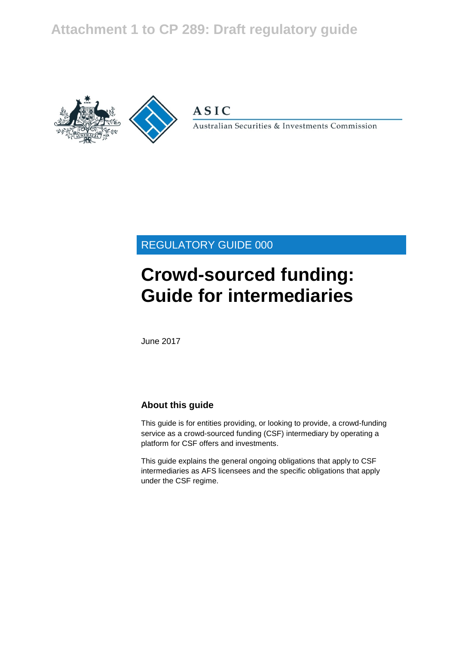## **Attachment 1 to CP 289: Draft regulatory guide**



**ASIC** 

Australian Securities & Investments Commission

## REGULATORY GUIDE 000

# **Crowd-sourced funding: Guide for intermediaries**

June 2017

### **About this guide**

This guide is for entities providing, or looking to provide, a crowd-funding service as a crowd-sourced funding (CSF) intermediary by operating a platform for CSF offers and investments.

This guide explains the general ongoing obligations that apply to CSF intermediaries as AFS licensees and the specific obligations that apply under the CSF regime.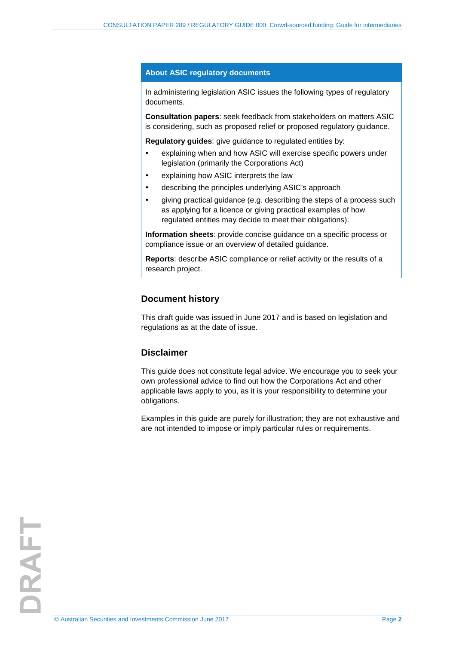#### **About ASIC regulatory documents**

In administering legislation ASIC issues the following types of regulatory documents.

**Consultation papers**: seek feedback from stakeholders on matters ASIC is considering, such as proposed relief or proposed regulatory guidance.

**Regulatory guides**: give guidance to regulated entities by:

- explaining when and how ASIC will exercise specific powers under legislation (primarily the Corporations Act)
- explaining how ASIC interprets the law
- describing the principles underlying ASIC's approach
- giving practical guidance (e.g. describing the steps of a process such as applying for a licence or giving practical examples of how regulated entities may decide to meet their obligations).

**Information sheets**: provide concise guidance on a specific process or compliance issue or an overview of detailed guidance.

**Reports**: describe ASIC compliance or relief activity or the results of a research project.

### **Document history**

This draft guide was issued in June 2017 and is based on legislation and regulations as at the date of issue.

#### **Disclaimer**

This guide does not constitute legal advice. We encourage you to seek your own professional advice to find out how the Corporations Act and other applicable laws apply to you, as it is your responsibility to determine your obligations.

Examples in this guide are purely for illustration; they are not exhaustive and are not intended to impose or imply particular rules or requirements.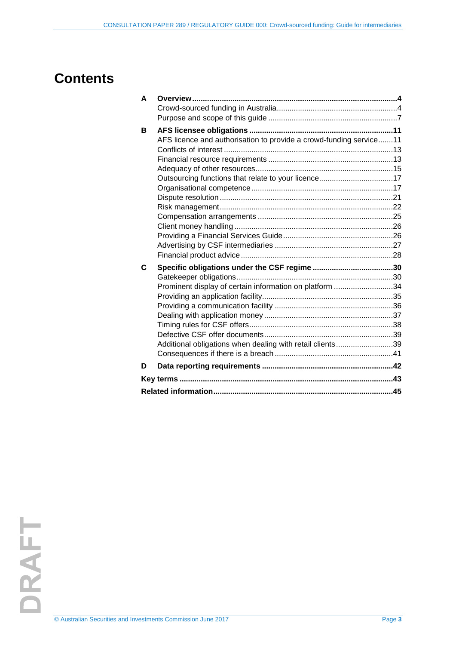## **Contents**

| A |                                                                    |  |
|---|--------------------------------------------------------------------|--|
|   |                                                                    |  |
|   |                                                                    |  |
| B |                                                                    |  |
|   | AFS licence and authorisation to provide a crowd-funding service11 |  |
|   |                                                                    |  |
|   |                                                                    |  |
|   |                                                                    |  |
|   | Outsourcing functions that relate to your licence17                |  |
|   |                                                                    |  |
|   |                                                                    |  |
|   |                                                                    |  |
|   |                                                                    |  |
|   |                                                                    |  |
|   |                                                                    |  |
|   |                                                                    |  |
|   |                                                                    |  |
| C |                                                                    |  |
|   |                                                                    |  |
|   | Prominent display of certain information on platform 34            |  |
|   |                                                                    |  |
|   |                                                                    |  |
|   |                                                                    |  |
|   |                                                                    |  |
|   |                                                                    |  |
|   | Additional obligations when dealing with retail clients39          |  |
|   |                                                                    |  |
| D |                                                                    |  |
|   |                                                                    |  |
|   |                                                                    |  |
|   |                                                                    |  |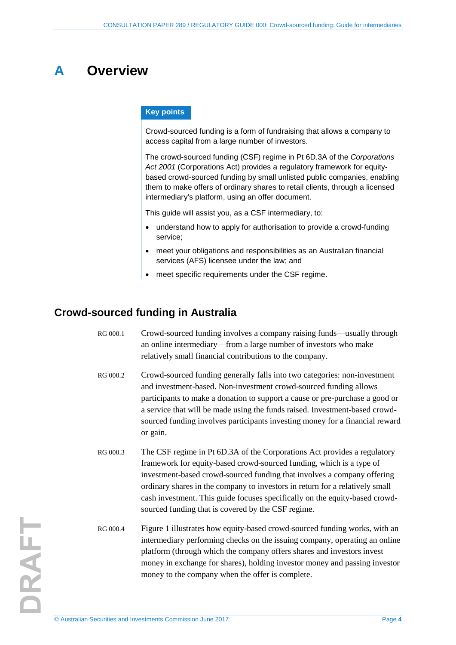## <span id="page-3-0"></span>**A Overview**

#### **Key points**

Crowd-sourced funding is a form of fundraising that allows a company to access capital from a large number of investors.

The crowd-sourced funding (CSF) regime in Pt 6D.3A of the *Corporations*  Act 2001 (Corporations Act) provides a regulatory framework for equitybased crowd-sourced funding by small unlisted public companies, enabling them to make offers of ordinary shares to retail clients, through a licensed intermediary's platform, using an offer document.

This guide will assist you, as a CSF intermediary, to:

- understand how to apply for authorisation to provide a crowd-funding service;
- meet your obligations and responsibilities as an Australian financial services (AFS) licensee under the law; and
- meet specific requirements under the CSF regime.

### <span id="page-3-1"></span>**Crowd-sourced funding in Australia**

- RG 000.1 Crowd-sourced funding involves a company raising funds—usually through an online intermediary—from a large number of investors who make relatively small financial contributions to the company.
- RG 000.2 Crowd-sourced funding generally falls into two categories: non-investment and investment-based. Non-investment crowd-sourced funding allows participants to make a donation to support a cause or pre-purchase a good or a service that will be made using the funds raised. Investment-based crowdsourced funding involves participants investing money for a financial reward or gain.
- RG 000.3 The CSF regime in Pt 6D.3A of the Corporations Act provides a regulatory framework for equity-based crowd-sourced funding, which is a type of investment-based crowd-sourced funding that involves a company offering ordinary shares in the company to investors in return for a relatively small cash investment. This guide focuses specifically on the equity-based crowdsourced funding that is covered by the CSF regime.
- <span id="page-3-2"></span>RG 000.4 [Figure 1](#page-4-0) illustrates how equity-based crowd-sourced funding works, with an intermediary performing checks on the issuing company, operating an online platform (through which the company offers shares and investors invest money in exchange for shares), holding investor money and passing investor money to the company when the offer is complete.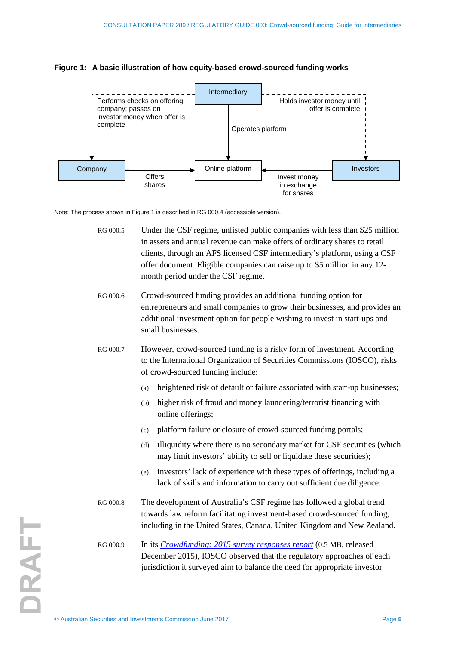

<span id="page-4-0"></span>

Note: The process shown i[n Figure 1](#page-4-0) is described i[n RG 000.4](#page-3-2) (accessible version).

RG 000.5 Under the CSF regime, unlisted public companies with less than \$25 million in assets and annual revenue can make offers of ordinary shares to retail clients, through an AFS licensed CSF intermediary's platform, using a CSF offer document. Eligible companies can raise up to \$5 million in any 12 month period under the CSF regime.

- RG 000.6 Crowd-sourced funding provides an additional funding option for entrepreneurs and small companies to grow their businesses, and provides an additional investment option for people wishing to invest in start-ups and small businesses.
- RG 000.7 However, crowd-sourced funding is a risky form of investment. According to the International Organization of Securities Commissions (IOSCO), risks of crowd-sourced funding include:
	- (a) heightened risk of default or failure associated with start-up businesses;
	- (b) higher risk of fraud and money laundering/terrorist financing with online offerings;
	- (c) platform failure or closure of crowd-sourced funding portals;
	- (d) illiquidity where there is no secondary market for CSF securities (which may limit investors' ability to sell or liquidate these securities);
	- (e) investors' lack of experience with these types of offerings, including a lack of skills and information to carry out sufficient due diligence.
- RG 000.8 The development of Australia's CSF regime has followed a global trend towards law reform facilitating investment-based crowd-sourced funding, including in the United States, Canada, United Kingdom and New Zealand.
- RG 000.9 In its *[Crowdfunding: 2015 survey responses report](https://www.iosco.org/library/pubdocs/pdf/IOSCOPD520.pdf)* (0.5 MB, released December 2015), IOSCO observed that the regulatory approaches of each jurisdiction it surveyed aim to balance the need for appropriate investor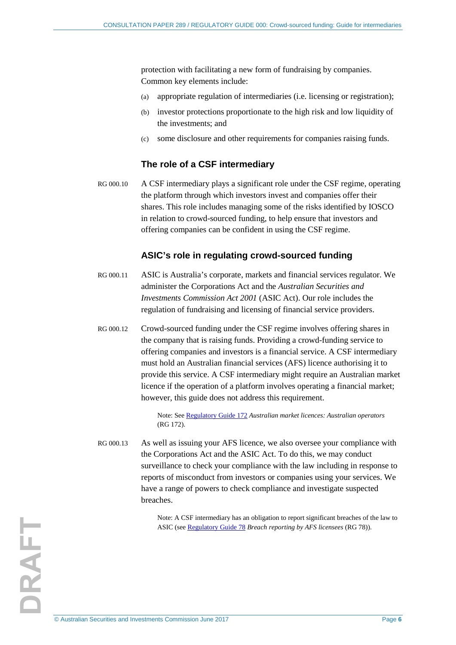protection with facilitating a new form of fundraising by companies. Common key elements include:

- (a) appropriate regulation of intermediaries (i.e. licensing or registration);
- (b) investor protections proportionate to the high risk and low liquidity of the investments; and
- (c) some disclosure and other requirements for companies raising funds.

### **The role of a CSF intermediary**

RG 000.10 A CSF intermediary plays a significant role under the CSF regime, operating the platform through which investors invest and companies offer their shares. This role includes managing some of the risks identified by IOSCO in relation to crowd-sourced funding, to help ensure that investors and offering companies can be confident in using the CSF regime.

### **ASIC's role in regulating crowd-sourced funding**

- RG 000.11 ASIC is Australia's corporate, markets and financial services regulator. We administer the Corporations Act and the *Australian Securities and Investments Commission Act 2001* (ASIC Act). Our role includes the regulation of fundraising and licensing of financial service providers.
- RG 000.12 Crowd-sourced funding under the CSF regime involves offering shares in the company that is raising funds. Providing a crowd-funding service to offering companies and investors is a financial service. A CSF intermediary must hold an Australian financial services (AFS) licence authorising it to provide this service. A CSF intermediary might require an Australian market licence if the operation of a platform involves operating a financial market; however, this guide does not address this requirement.

Note: See [Regulatory Guide 172](http://asic.gov.au/regulatory-resources/find-a-document/regulatory-guides/rg-172-australian-market-licences-australian-operators/) *Australian market licences: Australian operators* (RG 172).

RG 000.13 As well as issuing your AFS licence, we also oversee your compliance with the Corporations Act and the ASIC Act. To do this, we may conduct surveillance to check your compliance with the law including in response to reports of misconduct from investors or companies using your services. We have a range of powers to check compliance and investigate suspected breaches.

> Note: A CSF intermediary has an obligation to report significant breaches of the law to ASIC (see [Regulatory Guide 78](http://asic.gov.au/regulatory-resources/find-a-document/regulatory-guides/rg-78-breach-reporting-by-afs-licensees/) *Breach reporting by AFS licensees* (RG 78)).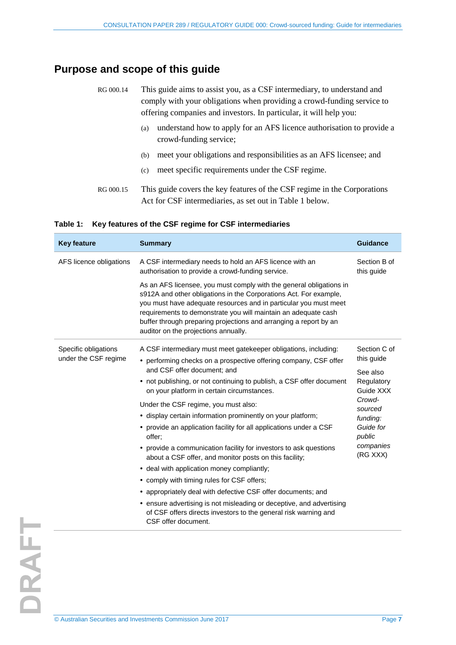## <span id="page-6-0"></span>**Purpose and scope of this guide**

| RG 000.14 | This guide aims to assist you, as a CSF intermediary, to understand and<br>comply with your obligations when providing a crowd-funding service to<br>offering companies and investors. In particular, it will help you: |
|-----------|-------------------------------------------------------------------------------------------------------------------------------------------------------------------------------------------------------------------------|
|           | understand how to apply for an AFS licence authorisation to provide a<br>(a)<br>crowd-funding service;                                                                                                                  |
|           | meet your obligations and responsibilities as an AFS licensee; and<br>(b)                                                                                                                                               |
|           | meet specific requirements under the CSF regime.<br>(c)                                                                                                                                                                 |
| RG 000.15 | This guide covers the key features of the CSF regime in the Corporations<br>Act for CSF intermediaries, as set out in Table 1 below.                                                                                    |

<span id="page-6-1"></span>

|  | Table 1: Key features of the CSF regime for CSF intermediaries |  |
|--|----------------------------------------------------------------|--|
|  |                                                                |  |

| <b>Key feature</b>      | <b>Summary</b>                                                                                                                                                                                                                                                                                                                                                                              | <b>Guidance</b>            |
|-------------------------|---------------------------------------------------------------------------------------------------------------------------------------------------------------------------------------------------------------------------------------------------------------------------------------------------------------------------------------------------------------------------------------------|----------------------------|
| AFS licence obligations | A CSF intermediary needs to hold an AFS licence with an<br>authorisation to provide a crowd-funding service.                                                                                                                                                                                                                                                                                | Section B of<br>this guide |
|                         | As an AFS licensee, you must comply with the general obligations in<br>s912A and other obligations in the Corporations Act. For example,<br>you must have adequate resources and in particular you must meet<br>requirements to demonstrate you will maintain an adequate cash<br>buffer through preparing projections and arranging a report by an<br>auditor on the projections annually. |                            |
| Specific obligations    | A CSF intermediary must meet gatekeeper obligations, including:                                                                                                                                                                                                                                                                                                                             | Section C of               |
| under the CSF regime    | • performing checks on a prospective offering company, CSF offer                                                                                                                                                                                                                                                                                                                            | this guide                 |
|                         | and CSF offer document; and                                                                                                                                                                                                                                                                                                                                                                 | See also                   |
|                         | • not publishing, or not continuing to publish, a CSF offer document<br>on your platform in certain circumstances.                                                                                                                                                                                                                                                                          | Regulatory<br>Guide XXX    |
|                         | Under the CSF regime, you must also:                                                                                                                                                                                                                                                                                                                                                        | Crowd-<br>sourced          |
|                         | • display certain information prominently on your platform;                                                                                                                                                                                                                                                                                                                                 | funding:                   |
|                         | • provide an application facility for all applications under a CSF<br>offer:                                                                                                                                                                                                                                                                                                                | Guide for<br>public        |
|                         | • provide a communication facility for investors to ask questions<br>about a CSF offer, and monitor posts on this facility;                                                                                                                                                                                                                                                                 | companies<br>(RG XXX)      |
|                         | • deal with application money compliantly;                                                                                                                                                                                                                                                                                                                                                  |                            |
|                         | • comply with timing rules for CSF offers;                                                                                                                                                                                                                                                                                                                                                  |                            |
|                         | • appropriately deal with defective CSF offer documents; and                                                                                                                                                                                                                                                                                                                                |                            |
|                         | • ensure advertising is not misleading or deceptive, and advertising<br>of CSF offers directs investors to the general risk warning and<br>CSF offer document.                                                                                                                                                                                                                              |                            |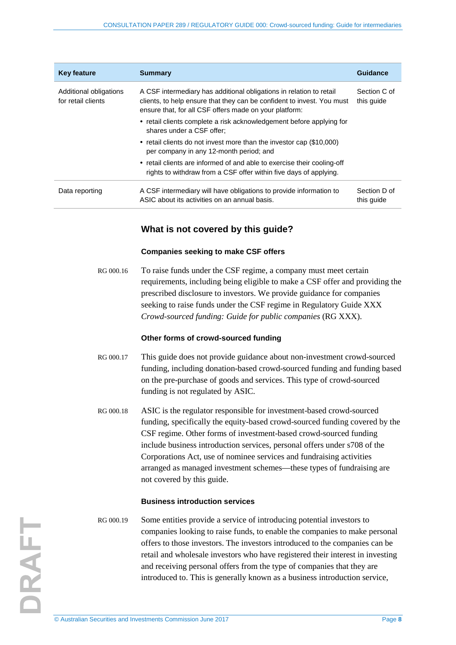| <b>Key feature</b>                           | <b>Summary</b>                                                                                                                                                                                          | <b>Guidance</b>            |
|----------------------------------------------|---------------------------------------------------------------------------------------------------------------------------------------------------------------------------------------------------------|----------------------------|
| Additional obligations<br>for retail clients | A CSF intermediary has additional obligations in relation to retail<br>clients, to help ensure that they can be confident to invest. You must<br>ensure that, for all CSF offers made on your platform: | Section C of<br>this guide |
|                                              | • retail clients complete a risk acknowledgement before applying for<br>shares under a CSF offer:                                                                                                       |                            |
|                                              | • retail clients do not invest more than the investor cap (\$10,000)<br>per company in any 12-month period; and                                                                                         |                            |
|                                              | • retail clients are informed of and able to exercise their cooling-off<br>rights to withdraw from a CSF offer within five days of applying.                                                            |                            |
| Data reporting                               | A CSF intermediary will have obligations to provide information to<br>ASIC about its activities on an annual basis.                                                                                     | Section D of<br>this guide |

### **What is not covered by this guide?**

#### **Companies seeking to make CSF offers**

RG 000.16 To raise funds under the CSF regime, a company must meet certain requirements, including being eligible to make a CSF offer and providing the prescribed disclosure to investors. We provide guidance for companies seeking to raise funds under the CSF regime in Regulatory Guide XXX *Crowd-sourced funding: Guide for public companies* (RG XXX).

#### **Other forms of crowd-sourced funding**

- RG 000.17 This guide does not provide guidance about non-investment crowd-sourced funding, including donation-based crowd-sourced funding and funding based on the pre-purchase of goods and services. This type of crowd-sourced funding is not regulated by ASIC.
- RG 000.18 ASIC is the regulator responsible for investment-based crowd-sourced funding, specifically the equity-based crowd-sourced funding covered by the CSF regime. Other forms of investment-based crowd-sourced funding include business introduction services, personal offers under s708 of the Corporations Act, use of nominee services and fundraising activities arranged as managed investment schemes—these types of fundraising are not covered by this guide.

#### **Business introduction services**

RG 000.19 Some entities provide a service of introducing potential investors to companies looking to raise funds, to enable the companies to make personal offers to those investors. The investors introduced to the companies can be retail and wholesale investors who have registered their interest in investing and receiving personal offers from the type of companies that they are introduced to. This is generally known as a business introduction service,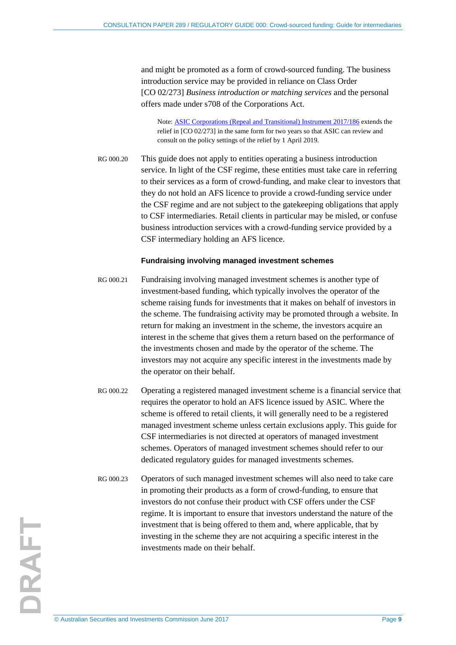and might be promoted as a form of crowd-sourced funding. The business introduction service may be provided in reliance on Class Order [CO 02/273] *Business introduction or matching services* and the personal offers made under s708 of the Corporations Act.

Note: [ASIC Corporations \(Repeal and Transitional\) Instrument 2017/186](https://www.legislation.gov.au/Details/F2017L00283) extends the relief in [CO 02/273] in the same form for two years so that ASIC can review and consult on the policy settings of the relief by 1 April 2019.

RG 000.20 This guide does not apply to entities operating a business introduction service. In light of the CSF regime, these entities must take care in referring to their services as a form of crowd-funding, and make clear to investors that they do not hold an AFS licence to provide a crowd-funding service under the CSF regime and are not subject to the gatekeeping obligations that apply to CSF intermediaries. Retail clients in particular may be misled, or confuse business introduction services with a crowd-funding service provided by a CSF intermediary holding an AFS licence.

#### **Fundraising involving managed investment schemes**

- RG 000.21 Fundraising involving managed investment schemes is another type of investment-based funding, which typically involves the operator of the scheme raising funds for investments that it makes on behalf of investors in the scheme. The fundraising activity may be promoted through a website. In return for making an investment in the scheme, the investors acquire an interest in the scheme that gives them a return based on the performance of the investments chosen and made by the operator of the scheme. The investors may not acquire any specific interest in the investments made by the operator on their behalf.
- RG 000.22 Operating a registered managed investment scheme is a financial service that requires the operator to hold an AFS licence issued by ASIC. Where the scheme is offered to retail clients, it will generally need to be a registered managed investment scheme unless certain exclusions apply. This guide for CSF intermediaries is not directed at operators of managed investment schemes. Operators of managed investment schemes should refer to our dedicated regulatory guides for managed investments schemes.
- RG 000.23 Operators of such managed investment schemes will also need to take care in promoting their products as a form of crowd-funding, to ensure that investors do not confuse their product with CSF offers under the CSF regime. It is important to ensure that investors understand the nature of the investment that is being offered to them and, where applicable, that by investing in the scheme they are not acquiring a specific interest in the investments made on their behalf.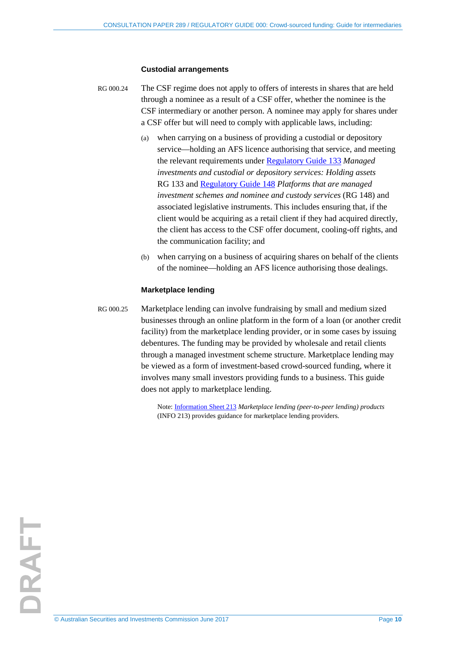#### **Custodial arrangements**

- RG 000.24 The CSF regime does not apply to offers of interests in shares that are held through a nominee as a result of a CSF offer, whether the nominee is the CSF intermediary or another person. A nominee may apply for shares under a CSF offer but will need to comply with applicable laws, including:
	- (a) when carrying on a business of providing a custodial or depository service—holding an AFS licence authorising that service, and meeting the relevant requirements under [Regulatory Guide 133](http://www.asic.gov.au/regulatory-resources/find-a-document/regulatory-guides/rg-133-managed-investments-and-custodial-or-depository-services-holding-assets/) *Managed investments and custodial or depository services: Holding assets* RG 133 and [Regulatory Guide 148](http://asic.gov.au/regulatory-resources/find-a-document/regulatory-guides/rg-148-platforms-that-are-managed-investment-schemes-and-nominee-and-custody-services/) *Platforms that are managed investment schemes and nominee and custody services* (RG 148) and associated legislative instruments. This includes ensuring that, if the client would be acquiring as a retail client if they had acquired directly, the client has access to the CSF offer document, cooling-off rights, and the communication facility; and
	- (b) when carrying on a business of acquiring shares on behalf of the clients of the nominee—holding an AFS licence authorising those dealings.

#### **Marketplace lending**

RG 000.25 Marketplace lending can involve fundraising by small and medium sized businesses through an online platform in the form of a loan (or another credit facility) from the marketplace lending provider, or in some cases by issuing debentures. The funding may be provided by wholesale and retail clients through a managed investment scheme structure. Marketplace lending may be viewed as a form of investment-based crowd-sourced funding, where it involves many small investors providing funds to a business. This guide does not apply to marketplace lending.

> Note: [Information Sheet 213](http://www.asic.gov.au/regulatory-resources/financial-services/marketplace-lending/marketplace-lending-peer-to-peer-lending-products/) *Marketplace lending (peer-to-peer lending) products* (INFO 213) provides guidance for marketplace lending providers.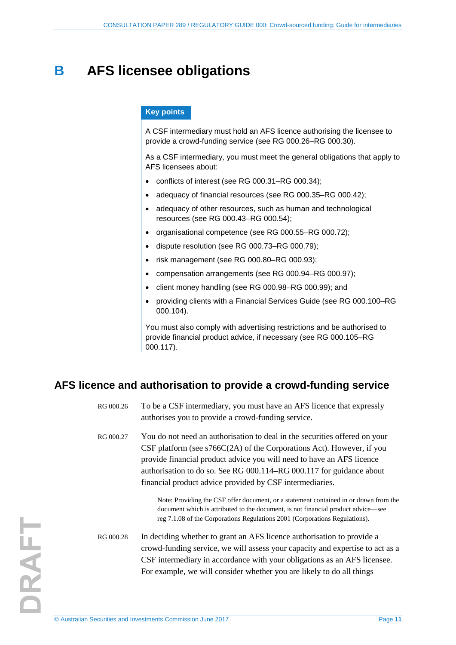## <span id="page-10-0"></span>**B AFS licensee obligations**

#### **Key points**

A CSF intermediary must hold an AFS licence authorising the licensee to provide a crowd-funding service (see [RG 000.26–](#page-10-2)[RG 000.30\)](#page-11-0).

As a CSF intermediary, you must meet the general obligations that apply to AFS licensees about:

- conflicts of interest (see [RG 000.31–](#page-12-2)[RG 000.34\)](#page-12-3);
- adequacy of financial resources (see [RG 000.35](#page-12-4)[–RG 000.42\)](#page-13-0);
- adequacy of other resources, such as human and technological resources (see [RG 000.43–](#page-14-1)[RG 000.54\)](#page-16-2);
- organisational competence (see [RG 000.55](#page-16-3)[–RG 000.72\)](#page-20-1);
- dispute resolution (see [RG 000.73](#page-20-2)[–RG 000.79\)](#page-21-1);
- risk management (see [RG 000.80–](#page-21-2)[RG 000.93\)](#page-24-1);
- compensation arrangements (see [RG 000.94–](#page-24-2)[RG 000.97\)](#page-25-2);
- client money handling (see [RG 000.98–](#page-25-3)[RG 000.99\)](#page-25-4); and
- providing clients with a Financial Services Guide (see [RG 000.100](#page-25-5)[–RG](#page-26-1)  [000.104\)](#page-26-1).

You must also comply with advertising restrictions and be authorised to provide financial product advice, if necessary (see [RG 000.105](#page-26-2)[–RG](#page-28-0)  [000.117\)](#page-28-0).

### <span id="page-10-2"></span><span id="page-10-1"></span>**AFS licence and authorisation to provide a crowd-funding service**

RG 000.26 To be a CSF intermediary, you must have an AFS licence that expressly authorises you to provide a crowd-funding service.

RG 000.27 You do not need an authorisation to deal in the securities offered on your CSF platform (see s766C(2A) of the Corporations Act). However, if you provide financial product advice you will need to have an AFS licence authorisation to do so. See [RG 000.114](#page-27-1)[–RG 000.117](#page-28-0) for guidance about financial product advice provided by CSF intermediaries.

> Note: Providing the CSF offer document, or a statement contained in or drawn from the document which is attributed to the document, is not financial product advice—see reg 7.1.08 of the Corporations Regulations 2001 (Corporations Regulations).

RG 000.28 In deciding whether to grant an AFS licence authorisation to provide a crowd-funding service, we will assess your capacity and expertise to act as a CSF intermediary in accordance with your obligations as an AFS licensee. For example, we will consider whether you are likely to do all things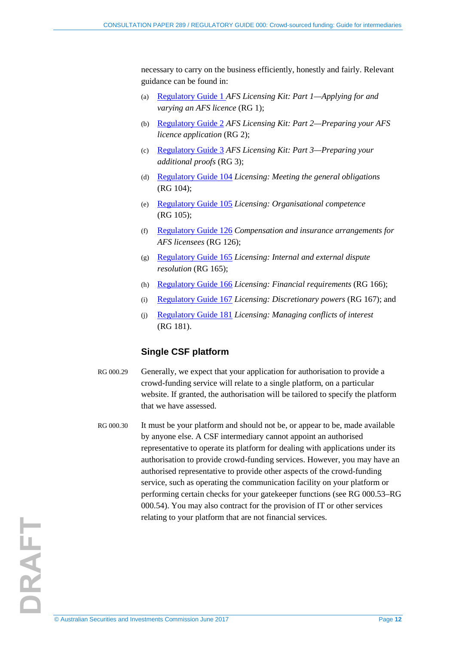necessary to carry on the business efficiently, honestly and fairly. Relevant guidance can be found in:

- (a) [Regulatory Guide 1](http://www.asic.gov.au/regulatory-resources/find-a-document/regulatory-guides/rg-1-afs-licensing-kit-part-1-applying-for-and-varying-an-afs-licence/) *AFS Licensing Kit: Part 1—Applying for and varying an AFS licence* (RG 1);
- (b) [Regulatory Guide 2](http://www.asic.gov.au/regulatory-resources/find-a-document/regulatory-guides/rg-2-afs-licensing-kit-part-2-preparing-your-afs-licence-application/) *AFS Licensing Kit: Part 2—Preparing your AFS licence application* (RG 2);
- (c) [Regulatory Guide 3](http://www.asic.gov.au/regulatory-resources/find-a-document/regulatory-guides/rg-3-afs-licensing-kit-part-3-preparing-your-additional-proofs/) *AFS Licensing Kit: Part 3—Preparing your additional proofs* (RG 3);
- (d) [Regulatory Guide 104](http://www.asic.gov.au/regulatory-resources/find-a-document/regulatory-guides/rg-104-licensing-meeting-the-general-obligations/) *Licensing: Meeting the general obligations* (RG 104);
- (e) [Regulatory Guide 105](http://www.asic.gov.au/regulatory-resources/find-a-document/regulatory-guides/rg-105-licensing-organisational-competence/) *Licensing: Organisational competence* (RG 105);
- (f) [Regulatory Guide 126](http://www.asic.gov.au/regulatory-resources/find-a-document/regulatory-guides/rg-126-compensation-and-insurance-arrangements-for-afs-licensees/) *Compensation and insurance arrangements for AFS licensees* (RG 126);
- (g) [Regulatory Guide 165](http://www.asic.gov.au/regulatory-resources/find-a-document/regulatory-guides/rg-165-licensing-internal-and-external-dispute-resolution/) *Licensing: Internal and external dispute resolution* (RG 165);
- (h) [Regulatory Guide 166](http://www.asic.gov.au/regulatory-resources/find-a-document/regulatory-guides/rg-166-licensing-financial-requirements/) *Licensing: Financial requirements* (RG 166);
- (i) [Regulatory Guide 167](http://www.asic.gov.au/regulatory-resources/find-a-document/regulatory-guides/rg-167-licensing-discretionary-powers/) *Licensing: Discretionary powers* (RG 167); and
- (j) [Regulatory Guide 181](http://www.asic.gov.au/regulatory-resources/find-a-document/regulatory-guides/rg-181-licensing-managing-conflicts-of-interest/) *Licensing: Managing conflicts of interest* (RG 181).

### **Single CSF platform**

- RG 000.29 Generally, we expect that your application for authorisation to provide a crowd-funding service will relate to a single platform, on a particular website. If granted, the authorisation will be tailored to specify the platform that we have assessed.
- <span id="page-11-0"></span>RG 000.30 It must be your platform and should not be, or appear to be, made available by anyone else. A CSF intermediary cannot appoint an authorised representative to operate its platform for dealing with applications under its authorisation to provide crowd-funding services. However, you may have an authorised representative to provide other aspects of the crowd-funding service, such as operating the communication facility on your platform or performing certain checks for your gatekeeper functions (see [RG 000.53](#page-16-4)[–RG](#page-16-2)  [000.54\)](#page-16-2). You may also contract for the provision of IT or other services relating to your platform that are not financial services.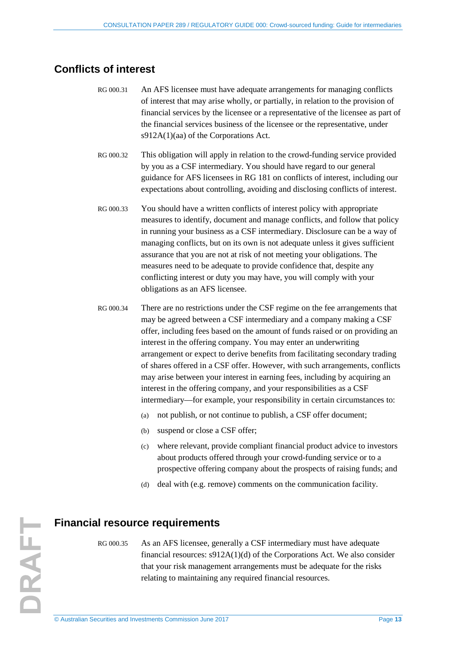### <span id="page-12-2"></span><span id="page-12-0"></span>**Conflicts of interest**

- RG 000.31 An AFS licensee must have adequate arrangements for managing conflicts of interest that may arise wholly, or partially, in relation to the provision of financial services by the licensee or a representative of the licensee as part of the financial services business of the licensee or the representative, under s912A(1)(aa) of the Corporations Act.
- RG 000.32 This obligation will apply in relation to the crowd-funding service provided by you as a CSF intermediary. You should have regard to our general guidance for AFS licensees in RG 181 on conflicts of interest, including our expectations about controlling, avoiding and disclosing conflicts of interest.
- RG 000.33 You should have a written conflicts of interest policy with appropriate measures to identify, document and manage conflicts, and follow that policy in running your business as a CSF intermediary. Disclosure can be a way of managing conflicts, but on its own is not adequate unless it gives sufficient assurance that you are not at risk of not meeting your obligations. The measures need to be adequate to provide confidence that, despite any conflicting interest or duty you may have, you will comply with your obligations as an AFS licensee.
- <span id="page-12-3"></span>RG 000.34 There are no restrictions under the CSF regime on the fee arrangements that may be agreed between a CSF intermediary and a company making a CSF offer, including fees based on the amount of funds raised or on providing an interest in the offering company. You may enter an underwriting arrangement or expect to derive benefits from facilitating secondary trading of shares offered in a CSF offer. However, with such arrangements, conflicts may arise between your interest in earning fees, including by acquiring an interest in the offering company, and your responsibilities as a CSF intermediary—for example, your responsibility in certain circumstances to:
	- (a) not publish, or not continue to publish, a CSF offer document;
	- (b) suspend or close a CSF offer;
	- (c) where relevant, provide compliant financial product advice to investors about products offered through your crowd-funding service or to a prospective offering company about the prospects of raising funds; and
	- (d) deal with (e.g. remove) comments on the communication facility.

### <span id="page-12-4"></span><span id="page-12-1"></span>**Financial resource requirements**

RG 000.35 As an AFS licensee, generally a CSF intermediary must have adequate financial resources: s912A(1)(d) of the Corporations Act. We also consider that your risk management arrangements must be adequate for the risks relating to maintaining any required financial resources.

DRAFT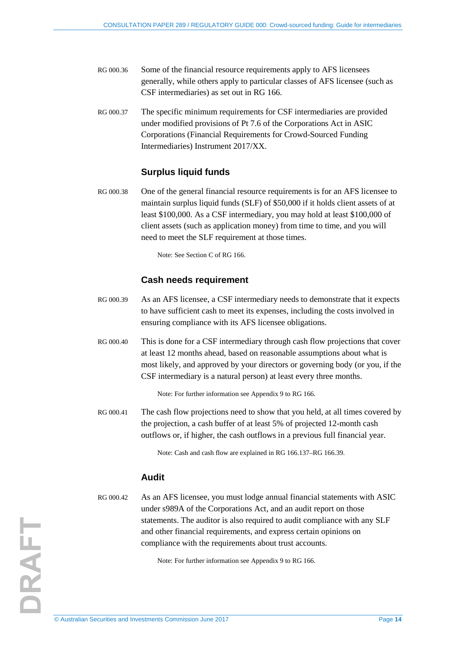- RG 000.36 Some of the financial resource requirements apply to AFS licensees generally, while others apply to particular classes of AFS licensee (such as CSF intermediaries) as set out in RG 166.
- RG 000.37 The specific minimum requirements for CSF intermediaries are provided under modified provisions of Pt 7.6 of the Corporations Act in ASIC Corporations (Financial Requirements for Crowd-Sourced Funding Intermediaries) Instrument 2017/XX.

### **Surplus liquid funds**

RG 000.38 One of the general financial resource requirements is for an AFS licensee to maintain surplus liquid funds (SLF) of \$50,000 if it holds client assets of at least \$100,000. As a CSF intermediary, you may hold at least \$100,000 of client assets (such as application money) from time to time, and you will need to meet the SLF requirement at those times.

Note: See Section C of RG 166.

### **Cash needs requirement**

- RG 000.39 As an AFS licensee, a CSF intermediary needs to demonstrate that it expects to have sufficient cash to meet its expenses, including the costs involved in ensuring compliance with its AFS licensee obligations.
- RG 000.40 This is done for a CSF intermediary through cash flow projections that cover at least 12 months ahead, based on reasonable assumptions about what is most likely, and approved by your directors or governing body (or you, if the CSF intermediary is a natural person) at least every three months.

Note: For further information see Appendix 9 to RG 166.

RG 000.41 The cash flow projections need to show that you held, at all times covered by the projection, a cash buffer of at least 5% of projected 12-month cash outflows or, if higher, the cash outflows in a previous full financial year.

Note: Cash and cash flow are explained in RG 166.137–RG 166.39.

### **Audit**

<span id="page-13-0"></span>RG 000.42 As an AFS licensee, you must lodge annual financial statements with ASIC under s989A of the Corporations Act, and an audit report on those statements. The auditor is also required to audit compliance with any SLF and other financial requirements, and express certain opinions on compliance with the requirements about trust accounts.

Note: For further information see Appendix 9 to RG 166.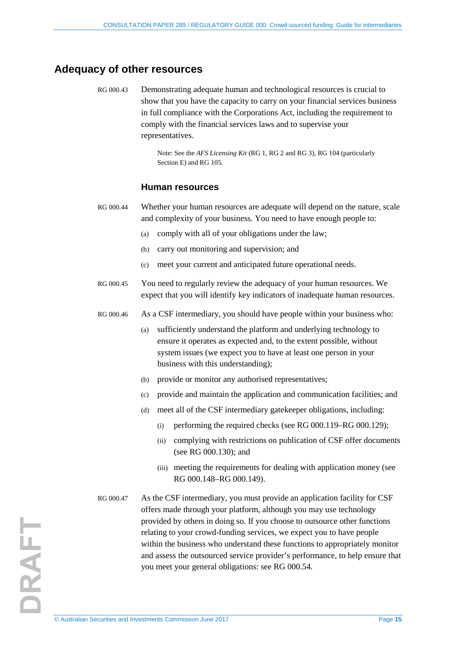### <span id="page-14-1"></span><span id="page-14-0"></span>**Adequacy of other resources**

RG 000.43 Demonstrating adequate human and technological resources is crucial to show that you have the capacity to carry on your financial services business in full compliance with the Corporations Act, including the requirement to comply with the financial services laws and to supervise your representatives.

> Note: See the *AFS Licensing Kit* (RG 1, RG 2 and RG 3), RG 104 (particularly Section E) and RG 105.

#### **Human resources**

- RG 000.44 Whether your human resources are adequate will depend on the nature, scale and complexity of your business. You need to have enough people to:
	- (a) comply with all of your obligations under the law;
	- (b) carry out monitoring and supervision; and
	- (c) meet your current and anticipated future operational needs.
- RG 000.45 You need to regularly review the adequacy of your human resources. We expect that you will identify key indicators of inadequate human resources.
- RG 000.46 As a CSF intermediary, you should have people within your business who:
	- (a) sufficiently understand the platform and underlying technology to ensure it operates as expected and, to the extent possible, without system issues (we expect you to have at least one person in your business with this understanding);
	- (b) provide or monitor any authorised representatives;
	- (c) provide and maintain the application and communication facilities; and
	- (d) meet all of the CSF intermediary gatekeeper obligations, including:
		- (i) performing the required checks (see RG  $000.119 RG\ 000.129$ );
		- (ii) complying with restrictions on publication of CSF offer documents (see [RG 000.130\)](#page-32-1); and
		- (iii) meeting the requirements for dealing with application money (see [RG 000.148](#page-36-1)[–RG 000.149\)](#page-36-2).
- RG 000.47 As the CSF intermediary, you must provide an application facility for CSF offers made through your platform, although you may use technology provided by others in doing so. If you choose to outsource other functions relating to your crowd-funding services, we expect you to have people within the business who understand these functions to appropriately monitor and assess the outsourced service provider's performance, to help ensure that you meet your general obligations: see [RG 000.54.](#page-16-2)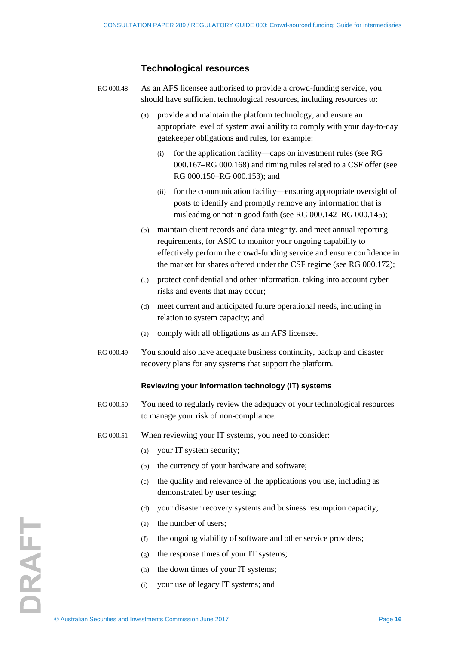### **Technological resources**

| RG 000.48 | As an AFS licensee authorised to provide a crowd-funding service, you   |
|-----------|-------------------------------------------------------------------------|
|           | should have sufficient technological resources, including resources to: |

- (a) provide and maintain the platform technology, and ensure an appropriate level of system availability to comply with your day-to-day gatekeeper obligations and rules, for example:
	- (i) for the application facility—caps on investment rules (see [RG](#page-39-0)  [000.167](#page-39-0)[–RG 000.168\)](#page-40-1) and timing rules related to a CSF offer (see [RG 000.150](#page-37-1)[–RG 000.153\)](#page-38-2); and
	- (ii) for the communication facility—ensuring appropriate oversight of posts to identify and promptly remove any information that is misleading or not in good faith (see [RG 000.142](#page-35-1)[–RG 000.145\)](#page-36-3);
- (b) maintain client records and data integrity, and meet annual reporting requirements, for ASIC to monitor your ongoing capability to effectively perform the crowd-funding service and ensure confidence in the market for shares offered under the CSF regime (see [RG 000.172\)](#page-41-1);
- (c) protect confidential and other information, taking into account cyber risks and events that may occur;
- (d) meet current and anticipated future operational needs, including in relation to system capacity; and
- (e) comply with all obligations as an AFS licensee.
- RG 000.49 You should also have adequate business continuity, backup and disaster recovery plans for any systems that support the platform.

#### **Reviewing your information technology (IT) systems**

- RG 000.50 You need to regularly review the adequacy of your technological resources to manage your risk of non-compliance.
- RG 000.51 When reviewing your IT systems, you need to consider:
	- (a) your IT system security;
	- (b) the currency of your hardware and software;
	- (c) the quality and relevance of the applications you use, including as demonstrated by user testing;
	- (d) your disaster recovery systems and business resumption capacity;
	- (e) the number of users;
	- (f) the ongoing viability of software and other service providers;
	- (g) the response times of your IT systems;
	- (h) the down times of your IT systems;
	- (i) your use of legacy IT systems; and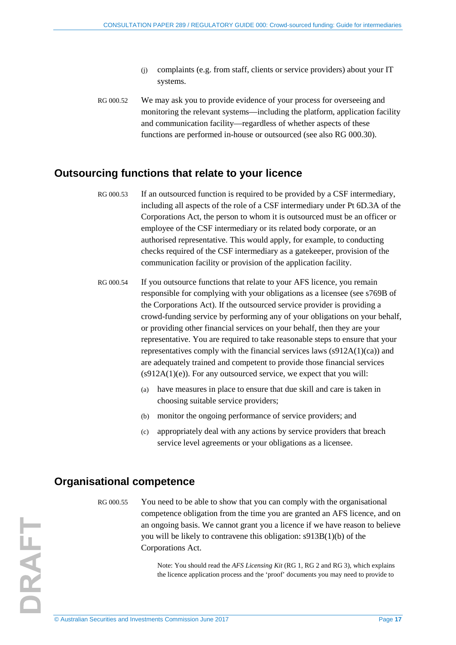- (j) complaints (e.g. from staff, clients or service providers) about your IT systems.
- RG 000.52 We may ask you to provide evidence of your process for overseeing and monitoring the relevant systems—including the platform, application facility and communication facility—regardless of whether aspects of these functions are performed in-house or outsourced (see also [RG 000.30\)](#page-11-0).

### <span id="page-16-4"></span><span id="page-16-0"></span>**Outsourcing functions that relate to your licence**

- RG 000.53 If an outsourced function is required to be provided by a CSF intermediary, including all aspects of the role of a CSF intermediary under Pt 6D.3A of the Corporations Act, the person to whom it is outsourced must be an officer or employee of the CSF intermediary or its related body corporate, or an authorised representative. This would apply, for example, to conducting checks required of the CSF intermediary as a gatekeeper, provision of the communication facility or provision of the application facility.
- <span id="page-16-2"></span>RG 000.54 If you outsource functions that relate to your AFS licence, you remain responsible for complying with your obligations as a licensee (see s769B of the Corporations Act). If the outsourced service provider is providing a crowd-funding service by performing any of your obligations on your behalf, or providing other financial services on your behalf, then they are your representative. You are required to take reasonable steps to ensure that your representatives comply with the financial services laws (s912A(1)(ca)) and are adequately trained and competent to provide those financial services  $(s912A(1)(e))$ . For any outsourced service, we expect that you will:
	- (a) have measures in place to ensure that due skill and care is taken in choosing suitable service providers;
	- (b) monitor the ongoing performance of service providers; and
	- (c) appropriately deal with any actions by service providers that breach service level agreements or your obligations as a licensee.

### <span id="page-16-3"></span><span id="page-16-1"></span>**Organisational competence**

RG 000.55 You need to be able to show that you can comply with the organisational competence obligation from the time you are granted an AFS licence, and on an ongoing basis. We cannot grant you a licence if we have reason to believe you will be likely to contravene this obligation: s913B(1)(b) of the Corporations Act.

> Note: You should read the *AFS Licensing Kit* (RG 1, RG 2 and RG 3), which explains the licence application process and the 'proof' documents you may need to provide to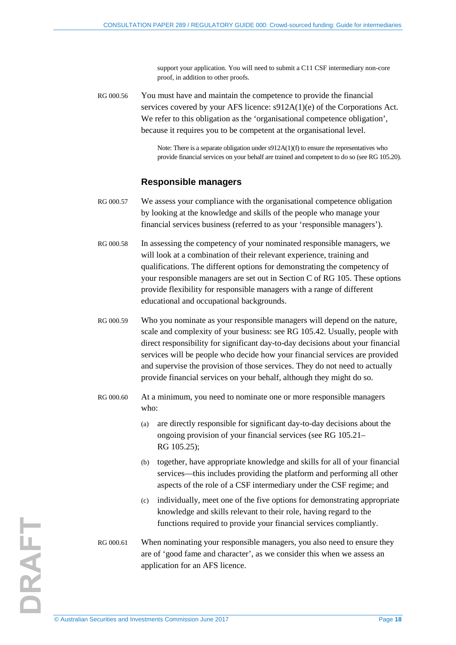support your application. You will need to submit a C11 CSF intermediary non-core proof, in addition to other proofs.

RG 000.56 You must have and maintain the competence to provide the financial services covered by your AFS licence: s912A(1)(e) of the Corporations Act. We refer to this obligation as the 'organisational competence obligation', because it requires you to be competent at the organisational level.

> Note: There is a separate obligation under s912A(1)(f) to ensure the representatives who provide financial services on your behalf are trained and competent to do so (see RG 105.20).

### **Responsible managers**

- RG 000.57 We assess your compliance with the organisational competence obligation by looking at the knowledge and skills of the people who manage your financial services business (referred to as your 'responsible managers').
- RG 000.58 In assessing the competency of your nominated responsible managers, we will look at a combination of their relevant experience, training and qualifications. The different options for demonstrating the competency of your responsible managers are set out in Section C of RG 105. These options provide flexibility for responsible managers with a range of different educational and occupational backgrounds.
- RG 000.59 Who you nominate as your responsible managers will depend on the nature, scale and complexity of your business: see RG 105.42. Usually, people with direct responsibility for significant day-to-day decisions about your financial services will be people who decide how your financial services are provided and supervise the provision of those services. They do not need to actually provide financial services on your behalf, although they might do so.
- RG 000.60 At a minimum, you need to nominate one or more responsible managers who:
	- (a) are directly responsible for significant day-to-day decisions about the ongoing provision of your financial services (see RG 105.21– RG 105.25);
	- (b) together, have appropriate knowledge and skills for all of your financial services—this includes providing the platform and performing all other aspects of the role of a CSF intermediary under the CSF regime; and
	- (c) individually, meet one of the five options for demonstrating appropriate knowledge and skills relevant to their role, having regard to the functions required to provide your financial services compliantly.
- RG 000.61 When nominating your responsible managers, you also need to ensure they are of 'good fame and character', as we consider this when we assess an application for an AFS licence.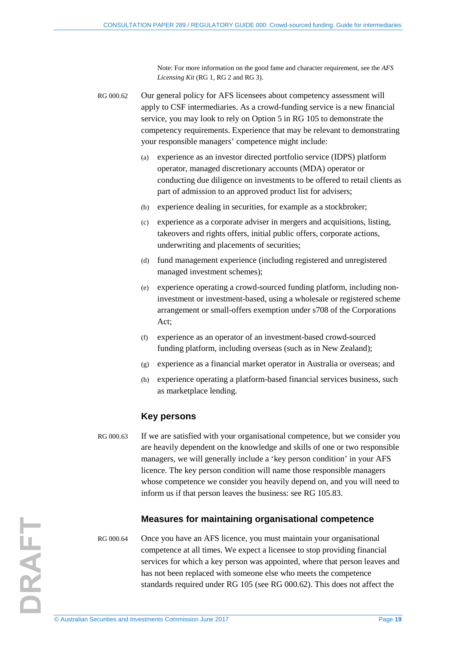Note: For more information on the good fame and character requirement, see the *AFS Licensing Kit* (RG 1, RG 2 and RG 3).

<span id="page-18-0"></span>RG 000.62 Our general policy for AFS licensees about competency assessment will apply to CSF intermediaries. As a crowd-funding service is a new financial service, you may look to rely on Option 5 in RG 105 to demonstrate the competency requirements. Experience that may be relevant to demonstrating your responsible managers' competence might include:

- (a) experience as an investor directed portfolio service (IDPS) platform operator, managed discretionary accounts (MDA) operator or conducting due diligence on investments to be offered to retail clients as part of admission to an approved product list for advisers;
- (b) experience dealing in securities, for example as a stockbroker;
- (c) experience as a corporate adviser in mergers and acquisitions, listing, takeovers and rights offers, initial public offers, corporate actions, underwriting and placements of securities;
- (d) fund management experience (including registered and unregistered managed investment schemes);
- (e) experience operating a crowd-sourced funding platform, including noninvestment or investment-based, using a wholesale or registered scheme arrangement or small-offers exemption under s708 of the Corporations Act;
- (f) experience as an operator of an investment-based crowd-sourced funding platform, including overseas (such as in New Zealand);
- (g) experience as a financial market operator in Australia or overseas; and
- (h) experience operating a platform-based financial services business, such as marketplace lending.

#### **Key persons**

RG 000.63 If we are satisfied with your organisational competence, but we consider you are heavily dependent on the knowledge and skills of one or two responsible managers, we will generally include a 'key person condition' in your AFS licence. The key person condition will name those responsible managers whose competence we consider you heavily depend on, and you will need to inform us if that person leaves the business: see RG 105.83.

### **Measures for maintaining organisational competence**

RG 000.64 Once you have an AFS licence, you must maintain your organisational competence at all times. We expect a licensee to stop providing financial services for which a key person was appointed, where that person leaves and has not been replaced with someone else who meets the competence standards required under RG 105 (see [RG 000.62\)](#page-18-0). This does not affect the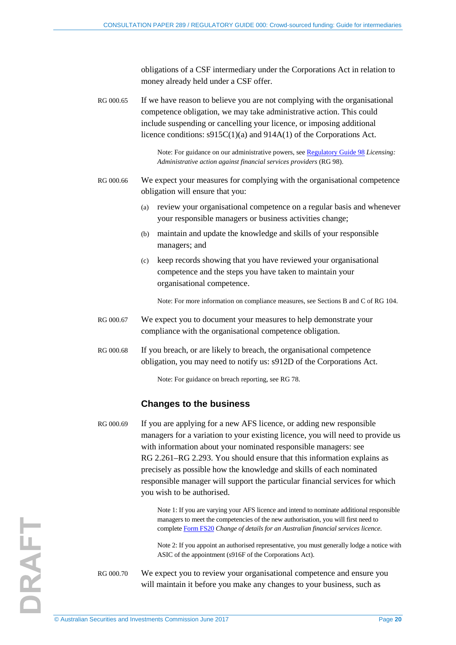obligations of a CSF intermediary under the Corporations Act in relation to money already held under a CSF offer.

RG 000.65 If we have reason to believe you are not complying with the organisational competence obligation, we may take administrative action. This could include suspending or cancelling your licence, or imposing additional licence conditions: s915C(1)(a) and 914A(1) of the Corporations Act.

> Note: For guidance on our administrative powers, se[e Regulatory Guide 98](http://www.asic.gov.au/regulatory-resources/find-a-document/regulatory-guides/rg-98-licensing-administrative-action-against-financial-services-providers/) *Licensing: Administrative action against financial services providers* (RG 98).

RG 000.66 We expect your measures for complying with the organisational competence obligation will ensure that you:

- (a) review your organisational competence on a regular basis and whenever your responsible managers or business activities change;
- (b) maintain and update the knowledge and skills of your responsible managers; and
- (c) keep records showing that you have reviewed your organisational competence and the steps you have taken to maintain your organisational competence.

Note: For more information on compliance measures, see Sections B and C of RG 104.

- RG 000.67 We expect you to document your measures to help demonstrate your compliance with the organisational competence obligation.
- RG 000.68 If you breach, or are likely to breach, the organisational competence obligation, you may need to notify us: s912D of the Corporations Act.

Note: For guidance on breach reporting, see RG 78.

### **Changes to the business**

RG 000.69 If you are applying for a new AFS licence, or adding new responsible managers for a variation to your existing licence, you will need to provide us with information about your nominated responsible managers: see RG 2.261–RG 2.293. You should ensure that this information explains as precisely as possible how the knowledge and skills of each nominated responsible manager will support the particular financial services for which you wish to be authorised.

> Note 1: If you are varying your AFS licence and intend to nominate additional responsible managers to meet the competencies of the new authorisation, you will first need to complete [Form FS20](http://asic.gov.au/regulatory-resources/forms/forms-folder/fs20-change-of-details-for-an-australian-financial-services-licence/) *Change of details for an Australian financial services licence*.

> Note 2: If you appoint an authorised representative, you must generally lodge a notice with ASIC of the appointment (s916F of the Corporations Act).

RG 000.70 We expect you to review your organisational competence and ensure you will maintain it before you make any changes to your business, such as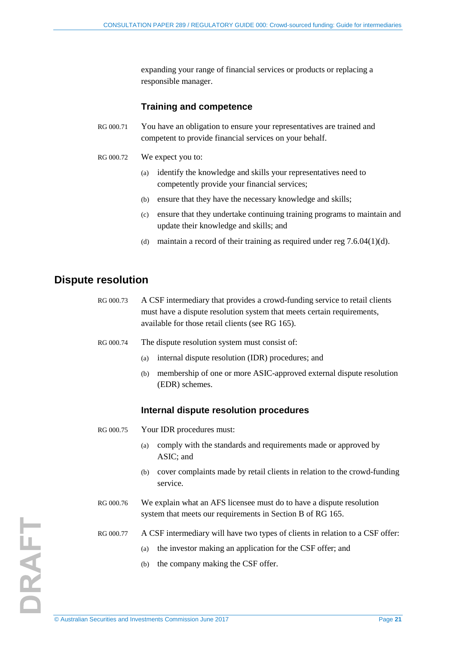expanding your range of financial services or products or replacing a responsible manager.

### **Training and competence**

- RG 000.71 You have an obligation to ensure your representatives are trained and competent to provide financial services on your behalf.
- <span id="page-20-1"></span>RG 000.72 We expect you to:
	- (a) identify the knowledge and skills your representatives need to competently provide your financial services;
	- (b) ensure that they have the necessary knowledge and skills;
	- (c) ensure that they undertake continuing training programs to maintain and update their knowledge and skills; and
	- (d) maintain a record of their training as required under reg  $7.6.04(1)(d)$ .

### <span id="page-20-2"></span><span id="page-20-0"></span>**Dispute resolution**

- RG 000.73 A CSF intermediary that provides a crowd-funding service to retail clients must have a dispute resolution system that meets certain requirements, available for those retail clients (see RG 165).
- RG 000.74 The dispute resolution system must consist of:
	- (a) internal dispute resolution (IDR) procedures; and
	- (b) membership of one or more ASIC-approved external dispute resolution (EDR) schemes.

### **Internal dispute resolution procedures**

- RG 000.75 Your IDR procedures must:
	- (a) comply with the standards and requirements made or approved by ASIC; and
	- (b) cover complaints made by retail clients in relation to the crowd-funding service.
- RG 000.76 We explain what an AFS licensee must do to have a dispute resolution system that meets our requirements in Section B of RG 165.
- RG 000.77 A CSF intermediary will have two types of clients in relation to a CSF offer:
	- (a) the investor making an application for the CSF offer; and
	- (b) the company making the CSF offer.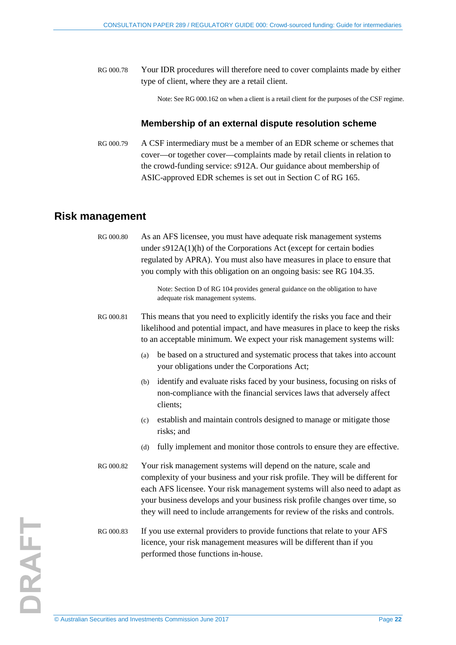RG 000.78 Your IDR procedures will therefore need to cover complaints made by either type of client, where they are a retail client.

Note: See [RG 000.162](#page-39-1) on when a client is a retail client for the purposes of the CSF regime.

### **Membership of an external dispute resolution scheme**

<span id="page-21-1"></span>RG 000.79 A CSF intermediary must be a member of an EDR scheme or schemes that cover—or together cover—complaints made by retail clients in relation to the crowd-funding service: s912A. Our guidance about membership of ASIC-approved EDR schemes is set out in Section C of RG 165.

### <span id="page-21-2"></span><span id="page-21-0"></span>**Risk management**

| RG 000.80 | As an AFS licensee, you must have adequate risk management systems<br>under $s912A(1)(h)$ of the Corporations Act (except for certain bodies<br>regulated by APRA). You must also have measures in place to ensure that<br>you comply with this obligation on an ongoing basis: see RG 104.35.                                                                                                  |  |
|-----------|-------------------------------------------------------------------------------------------------------------------------------------------------------------------------------------------------------------------------------------------------------------------------------------------------------------------------------------------------------------------------------------------------|--|
|           | Note: Section D of RG 104 provides general guidance on the obligation to have<br>adequate risk management systems.                                                                                                                                                                                                                                                                              |  |
| RG 000.81 | This means that you need to explicitly identify the risks you face and their<br>likelihood and potential impact, and have measures in place to keep the risks<br>to an acceptable minimum. We expect your risk management systems will:                                                                                                                                                         |  |
|           | be based on a structured and systematic process that takes into account<br>(a)<br>your obligations under the Corporations Act;                                                                                                                                                                                                                                                                  |  |
|           | identify and evaluate risks faced by your business, focusing on risks of<br>(b)<br>non-compliance with the financial services laws that adversely affect<br>clients;                                                                                                                                                                                                                            |  |
|           | establish and maintain controls designed to manage or mitigate those<br>(c)<br>risks; and                                                                                                                                                                                                                                                                                                       |  |
|           | fully implement and monitor those controls to ensure they are effective.<br>(d)                                                                                                                                                                                                                                                                                                                 |  |
| RG 000.82 | Your risk management systems will depend on the nature, scale and<br>complexity of your business and your risk profile. They will be different for<br>each AFS licensee. Your risk management systems will also need to adapt as<br>your business develops and your business risk profile changes over time, so<br>they will need to include arrangements for review of the risks and controls. |  |
| RG 000.83 | If you use external providers to provide functions that relate to your AFS<br>licence, your risk management measures will be different than if you<br>performed those functions in-house.                                                                                                                                                                                                       |  |
|           |                                                                                                                                                                                                                                                                                                                                                                                                 |  |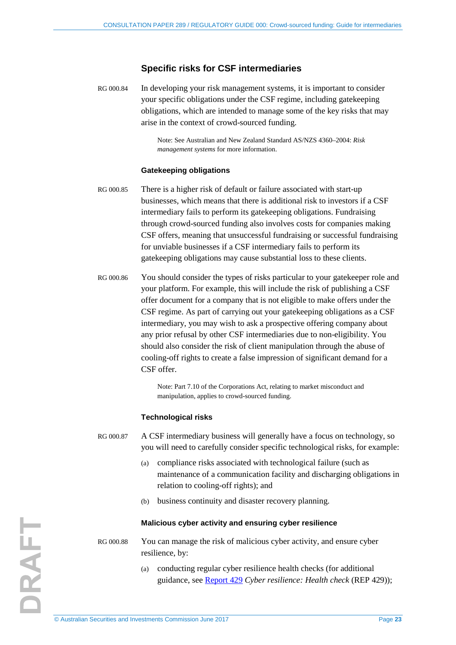### **Specific risks for CSF intermediaries**

RG 000.84 In developing your risk management systems, it is important to consider your specific obligations under the CSF regime, including gatekeeping obligations, which are intended to manage some of the key risks that may arise in the context of crowd-sourced funding.

> Note: See Australian and New Zealand Standard AS/NZS 4360–2004: *Risk management systems* for more information.

#### **Gatekeeping obligations**

- RG 000.85 There is a higher risk of default or failure associated with start-up businesses, which means that there is additional risk to investors if a CSF intermediary fails to perform its gatekeeping obligations. Fundraising through crowd-sourced funding also involves costs for companies making CSF offers, meaning that unsuccessful fundraising or successful fundraising for unviable businesses if a CSF intermediary fails to perform its gatekeeping obligations may cause substantial loss to these clients.
- RG 000.86 You should consider the types of risks particular to your gatekeeper role and your platform. For example, this will include the risk of publishing a CSF offer document for a company that is not eligible to make offers under the CSF regime. As part of carrying out your gatekeeping obligations as a CSF intermediary, you may wish to ask a prospective offering company about any prior refusal by other CSF intermediaries due to non-eligibility. You should also consider the risk of client manipulation through the abuse of cooling-off rights to create a false impression of significant demand for a CSF offer.

Note: Part 7.10 of the Corporations Act, relating to market misconduct and manipulation, applies to crowd-sourced funding.

### **Technological risks**

RG 000.87 A CSF intermediary business will generally have a focus on technology, so you will need to carefully consider specific technological risks, for example:

- (a) compliance risks associated with technological failure (such as maintenance of a communication facility and discharging obligations in relation to cooling-off rights); and
- (b) business continuity and disaster recovery planning.

#### **Malicious cyber activity and ensuring cyber resilience**

- RG 000.88 You can manage the risk of malicious cyber activity, and ensure cyber resilience, by:
	- (a) conducting regular cyber resilience health checks (for additional guidance, see [Report 429](http://www.asic.gov.au/regulatory-resources/find-a-document/reports/rep-429-cyber-resilience-health-check/) *Cyber resilience: Health check* (REP 429));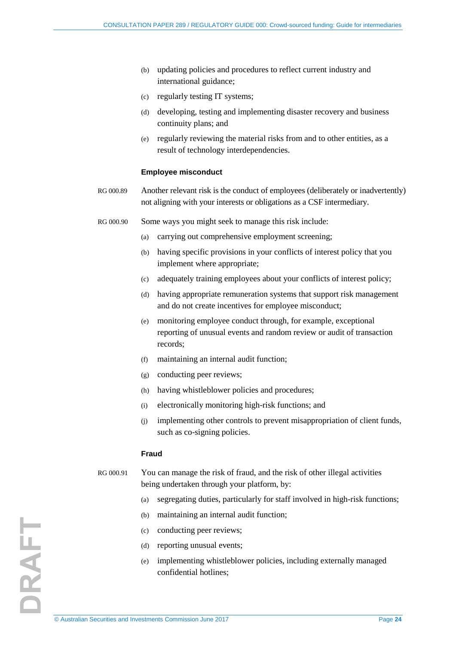- (b) updating policies and procedures to reflect current industry and international guidance;
- (c) regularly testing IT systems;
- (d) developing, testing and implementing disaster recovery and business continuity plans; and
- (e) regularly reviewing the material risks from and to other entities, as a result of technology interdependencies.

#### **Employee misconduct**

- RG 000.89 Another relevant risk is the conduct of employees (deliberately or inadvertently) not aligning with your interests or obligations as a CSF intermediary.
- RG 000.90 Some ways you might seek to manage this risk include:
	- (a) carrying out comprehensive employment screening;
	- (b) having specific provisions in your conflicts of interest policy that you implement where appropriate;
	- (c) adequately training employees about your conflicts of interest policy;
	- (d) having appropriate remuneration systems that support risk management and do not create incentives for employee misconduct;
	- (e) monitoring employee conduct through, for example, exceptional reporting of unusual events and random review or audit of transaction records;
	- (f) maintaining an internal audit function;
	- (g) conducting peer reviews;
	- (h) having whistleblower policies and procedures;
	- (i) electronically monitoring high-risk functions; and
	- (j) implementing other controls to prevent misappropriation of client funds, such as co-signing policies.

#### **Fraud**

### RG 000.91 You can manage the risk of fraud, and the risk of other illegal activities being undertaken through your platform, by:

- (a) segregating duties, particularly for staff involved in high-risk functions;
- (b) maintaining an internal audit function;
- (c) conducting peer reviews;
- (d) reporting unusual events;
- (e) implementing whistleblower policies, including externally managed confidential hotlines;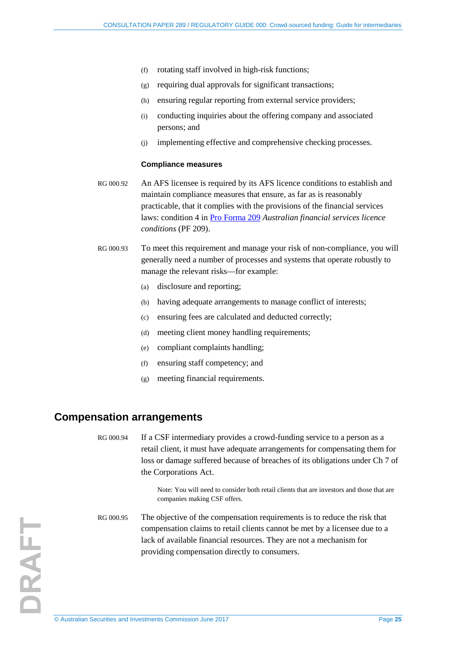- (f) rotating staff involved in high-risk functions;
- (g) requiring dual approvals for significant transactions;
- (h) ensuring regular reporting from external service providers;
- (i) conducting inquiries about the offering company and associated persons; and
- (j) implementing effective and comprehensive checking processes.

#### **Compliance measures**

- RG 000.92 An AFS licensee is required by its AFS licence conditions to establish and maintain compliance measures that ensure, as far as is reasonably practicable, that it complies with the provisions of the financial services laws: condition 4 in [Pro Forma 209](http://www.asic.gov.au/for-finance-professionals/afs-licensees/applying-for-and-managing-an-afs-licence/australian-financial-services-licence-conditions-pro-forma-209/) *Australian financial services licence conditions* (PF 209).
- <span id="page-24-1"></span>RG 000.93 To meet this requirement and manage your risk of non-compliance, you will generally need a number of processes and systems that operate robustly to manage the relevant risks—for example:
	- (a) disclosure and reporting;
	- (b) having adequate arrangements to manage conflict of interests;
	- (c) ensuring fees are calculated and deducted correctly;
	- (d) meeting client money handling requirements;
	- (e) compliant complaints handling;
	- (f) ensuring staff competency; and
	- (g) meeting financial requirements.

### <span id="page-24-2"></span><span id="page-24-0"></span>**Compensation arrangements**

RG 000.94 If a CSF intermediary provides a crowd-funding service to a person as a retail client, it must have adequate arrangements for compensating them for loss or damage suffered because of breaches of its obligations under Ch 7 of the Corporations Act.

> Note: You will need to consider both retail clients that are investors and those that are companies making CSF offers.

RG 000.95 The objective of the compensation requirements is to reduce the risk that compensation claims to retail clients cannot be met by a licensee due to a lack of available financial resources. They are not a mechanism for providing compensation directly to consumers.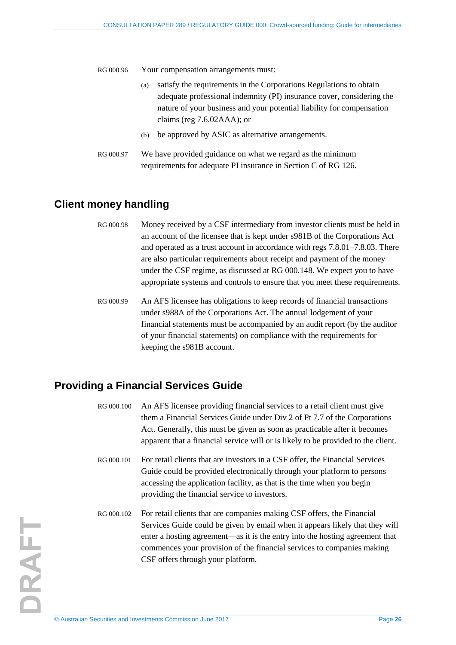RG 000.96 Your compensation arrangements must:

- (a) satisfy the requirements in the Corporations Regulations to obtain adequate professional indemnity (PI) insurance cover, considering the nature of your business and your potential liability for compensation claims (reg 7.6.02AAA); or
- (b) be approved by ASIC as alternative arrangements.
- <span id="page-25-2"></span>RG 000.97 We have provided guidance on what we regard as the minimum requirements for adequate PI insurance in Section C of RG 126.

### <span id="page-25-3"></span><span id="page-25-0"></span>**Client money handling**

- RG 000.98 Money received by a CSF intermediary from investor clients must be held in an account of the licensee that is kept under s981B of the Corporations Act and operated as a trust account in accordance with regs 7.8.01–7.8.03. There are also particular requirements about receipt and payment of the money under the CSF regime, as discussed at [RG 000.148.](#page-36-1) We expect you to have appropriate systems and controls to ensure that you meet these requirements.
- <span id="page-25-4"></span>RG 000.99 An AFS licensee has obligations to keep records of financial transactions under s988A of the Corporations Act. The annual lodgement of your financial statements must be accompanied by an audit report (by the auditor of your financial statements) on compliance with the requirements for keeping the s981B account.

### <span id="page-25-5"></span><span id="page-25-1"></span>**Providing a Financial Services Guide**

- RG 000.100 An AFS licensee providing financial services to a retail client must give them a Financial Services Guide under Div 2 of Pt 7.7 of the Corporations Act. Generally, this must be given as soon as practicable after it becomes apparent that a financial service will or is likely to be provided to the client.
- RG 000.101 For retail clients that are investors in a CSF offer, the Financial Services Guide could be provided electronically through your platform to persons accessing the application facility, as that is the time when you begin providing the financial service to investors.
- RG 000.102 For retail clients that are companies making CSF offers, the Financial Services Guide could be given by email when it appears likely that they will enter a hosting agreement—as it is the entry into the hosting agreement that commences your provision of the financial services to companies making CSF offers through your platform.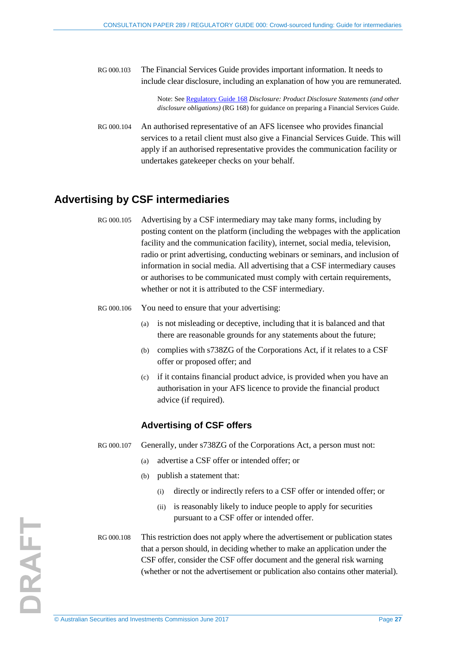RG 000.103 The Financial Services Guide provides important information. It needs to include clear disclosure, including an explanation of how you are remunerated.

> Note: See [Regulatory Guide 168](http://www.asic.gov.au/regulatory-resources/find-a-document/regulatory-guides/rg-168-disclosure-product-disclosure-statements-and-other-disclosure-obligations/) *Disclosure: Product Disclosure Statements (and other disclosure obligations)* (RG 168) for guidance on preparing a Financial Services Guide.

<span id="page-26-1"></span>RG 000.104 An authorised representative of an AFS licensee who provides financial services to a retail client must also give a Financial Services Guide. This will apply if an authorised representative provides the communication facility or undertakes gatekeeper checks on your behalf.

### <span id="page-26-2"></span><span id="page-26-0"></span>**Advertising by CSF intermediaries**

RG 000.105 Advertising by a CSF intermediary may take many forms, including by posting content on the platform (including the webpages with the application facility and the communication facility), internet, social media, television, radio or print advertising, conducting webinars or seminars, and inclusion of information in social media. All advertising that a CSF intermediary causes or authorises to be communicated must comply with certain requirements, whether or not it is attributed to the CSF intermediary.

- RG 000.106 You need to ensure that your advertising:
	- (a) is not misleading or deceptive, including that it is balanced and that there are reasonable grounds for any statements about the future;
	- (b) complies with s738ZG of the Corporations Act, if it relates to a CSF offer or proposed offer; and
	- (c) if it contains financial product advice, is provided when you have an authorisation in your AFS licence to provide the financial product advice (if required).

### **Advertising of CSF offers**

- RG 000.107 Generally, under s738ZG of the Corporations Act, a person must not:
	- (a) advertise a CSF offer or intended offer; or
	- (b) publish a statement that:
		- (i) directly or indirectly refers to a CSF offer or intended offer; or
		- (ii) is reasonably likely to induce people to apply for securities pursuant to a CSF offer or intended offer.
- RG 000.108 This restriction does not apply where the advertisement or publication states that a person should, in deciding whether to make an application under the CSF offer, consider the CSF offer document and the general risk warning (whether or not the advertisement or publication also contains other material).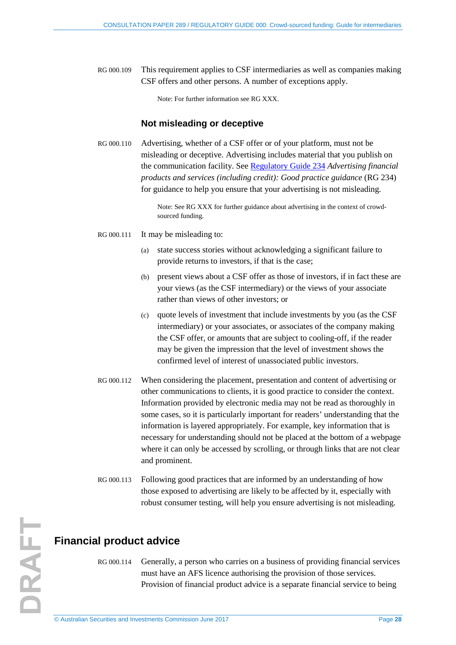RG 000.109 This requirement applies to CSF intermediaries as well as companies making CSF offers and other persons. A number of exceptions apply.

Note: For further information see RG XXX.

#### **Not misleading or deceptive**

RG 000.110 Advertising, whether of a CSF offer or of your platform, must not be misleading or deceptive. Advertising includes material that you publish on the communication facility. See [Regulatory Guide 234](http://www.asic.gov.au/regulatory-resources/find-a-document/regulatory-guides/rg-234-advertising-financial-products-and-advice-services-including-credit-good-practice-guidance/) *Advertising financial products and services (including credit): Good practice guidance* (RG 234) for guidance to help you ensure that your advertising is not misleading.

> Note: See RG XXX for further guidance about advertising in the context of crowdsourced funding.

- RG 000.111 It may be misleading to:
	- (a) state success stories without acknowledging a significant failure to provide returns to investors, if that is the case;
	- (b) present views about a CSF offer as those of investors, if in fact these are your views (as the CSF intermediary) or the views of your associate rather than views of other investors; or
	- (c) quote levels of investment that include investments by you (as the CSF intermediary) or your associates, or associates of the company making the CSF offer, or amounts that are subject to cooling-off, if the reader may be given the impression that the level of investment shows the confirmed level of interest of unassociated public investors.
- RG 000.112 When considering the placement, presentation and content of advertising or other communications to clients, it is good practice to consider the context. Information provided by electronic media may not be read as thoroughly in some cases, so it is particularly important for readers' understanding that the information is layered appropriately. For example, key information that is necessary for understanding should not be placed at the bottom of a webpage where it can only be accessed by scrolling, or through links that are not clear and prominent.
- <span id="page-27-0"></span>RG 000.113 Following good practices that are informed by an understanding of how those exposed to advertising are likely to be affected by it, especially with robust consumer testing, will help you ensure advertising is not misleading.

<span id="page-27-1"></span>RG 000.114 Generally, a person who carries on a business of providing financial services must have an AFS licence authorising the provision of those services. Provision of financial product advice is a separate financial service to being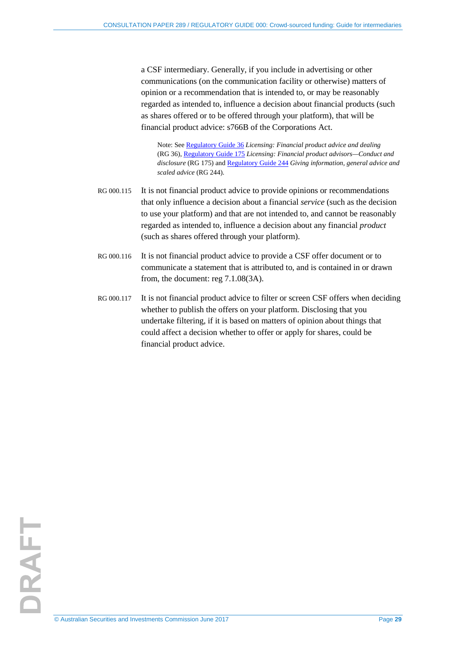a CSF intermediary. Generally, if you include in advertising or other communications (on the communication facility or otherwise) matters of opinion or a recommendation that is intended to, or may be reasonably regarded as intended to, influence a decision about financial products (such as shares offered or to be offered through your platform), that will be financial product advice: s766B of the Corporations Act.

Note: See [Regulatory Guide 36](http://www.asic.gov.au/regulatory-resources/find-a-document/regulatory-guides/rg-36-licensing-financial-product-advice-and-dealing/) *Licensing: Financial product advice and dealing*  (RG 36), [Regulatory Guide 175](http://www.asic.gov.au/regulatory-resources/find-a-document/regulatory-guides/rg-36-licensing-financial-product-advice-and-dealing/) *Licensing: Financial product advisors—Conduct and disclosure* (RG 175) an[d Regulatory Guide 244](http://www.asic.gov.au/regulatory-resources/find-a-document/regulatory-guides/rg-36-licensing-financial-product-advice-and-dealing/) *Giving information, general advice and scaled advice* (RG 244).

- RG 000.115 It is not financial product advice to provide opinions or recommendations that only influence a decision about a financial *service* (such as the decision to use your platform) and that are not intended to, and cannot be reasonably regarded as intended to, influence a decision about any financial *product* (such as shares offered through your platform).
- RG 000.116 It is not financial product advice to provide a CSF offer document or to communicate a statement that is attributed to, and is contained in or drawn from, the document: reg 7.1.08(3A).
- <span id="page-28-0"></span>RG 000.117 It is not financial product advice to filter or screen CSF offers when deciding whether to publish the offers on your platform. Disclosing that you undertake filtering, if it is based on matters of opinion about things that could affect a decision whether to offer or apply for shares, could be financial product advice.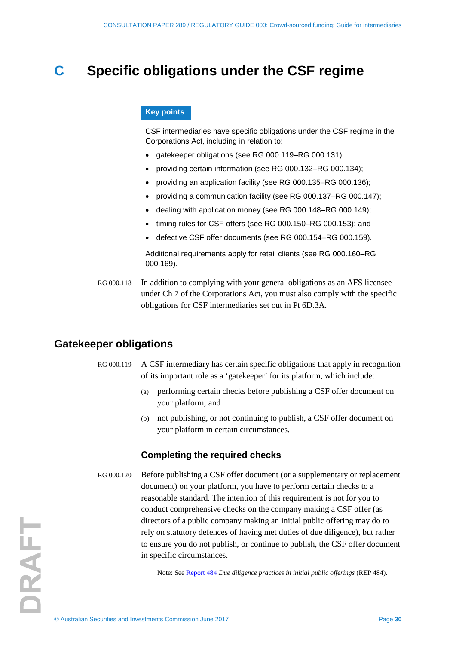## <span id="page-29-0"></span>**C Specific obligations under the CSF regime**

#### **Key points**

CSF intermediaries have specific obligations under the CSF regime in the Corporations Act, including in relation to:

- gatekeeper obligations (see [RG 000.119–](#page-29-2)[RG 000.131\)](#page-33-1);
- providing certain information (see [RG 000.132](#page-33-2)[–RG 000.134\)](#page-34-1);
- providing an application facility (see [RG 000.135–](#page-34-2)[RG 000.136\)](#page-34-3);
- providing a communication facility (see [RG 000.137–](#page-35-2)[RG 000.147\)](#page-36-4);
- dealing with application money (see [RG 000.148–](#page-36-1)[RG 000.149\)](#page-36-2);
- timing rules for CSF offers (see [RG 000.150–](#page-37-1)[RG 000.153\)](#page-38-2); and
- defective CSF offer documents (see [RG 000.154–](#page-38-3)[RG 000.159\)](#page-38-4).

Additional requirements apply for retail clients (see [RG 000.160–](#page-38-5)[RG](#page-40-2)  [000.169\)](#page-40-2).

RG 000.118 In addition to complying with your general obligations as an AFS licensee under Ch 7 of the Corporations Act, you must also comply with the specific obligations for CSF intermediaries set out in Pt 6D.3A.

### <span id="page-29-2"></span><span id="page-29-1"></span>**Gatekeeper obligations**

- RG 000.119 A CSF intermediary has certain specific obligations that apply in recognition of its important role as a 'gatekeeper' for its platform, which include:
	- (a) performing certain checks before publishing a CSF offer document on your platform; and
	- (b) not publishing, or not continuing to publish, a CSF offer document on your platform in certain circumstances.

#### **Completing the required checks**

RG 000.120 Before publishing a CSF offer document (or a supplementary or replacement document) on your platform, you have to perform certain checks to a reasonable standard. The intention of this requirement is not for you to conduct comprehensive checks on the company making a CSF offer (as directors of a public company making an initial public offering may do to rely on statutory defences of having met duties of due diligence), but rather to ensure you do not publish, or continue to publish, the CSF offer document in specific circumstances.

Note: See [Report 484](http://asic.gov.au/regulatory-resources/find-a-document/reports/rep-484-due-diligence-practices-in-initial-public-offerings/) *Due diligence practices in initial public offerings* (REP 484).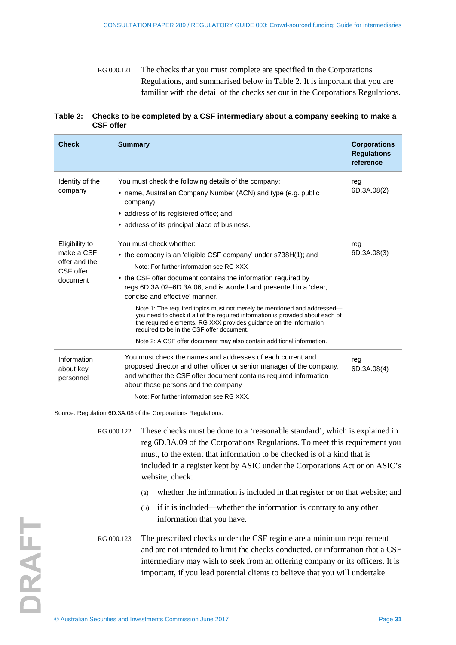RG 000.121 The checks that you must complete are specified in the Corporations Regulations, and summarised below in [Table 2.](#page-30-0) It is important that you are familiar with the detail of the checks set out in the Corporations Regulations.

#### <span id="page-30-0"></span>**Table 2: Checks to be completed by a CSF intermediary about a company seeking to make a CSF offer**

| <b>Check</b>                                                           | <b>Summary</b>                                                                                                                                                                                                                                                                                                                                                                                                                                                                                                                                                                                                                                                         | <b>Corporations</b><br><b>Regulations</b><br>reference |
|------------------------------------------------------------------------|------------------------------------------------------------------------------------------------------------------------------------------------------------------------------------------------------------------------------------------------------------------------------------------------------------------------------------------------------------------------------------------------------------------------------------------------------------------------------------------------------------------------------------------------------------------------------------------------------------------------------------------------------------------------|--------------------------------------------------------|
| Identity of the<br>company                                             | You must check the following details of the company:<br>• name, Australian Company Number (ACN) and type (e.g. public<br>company);<br>• address of its registered office; and<br>• address of its principal place of business.                                                                                                                                                                                                                                                                                                                                                                                                                                         | reg<br>6D.3A.08(2)                                     |
| Eligibility to<br>make a CSF<br>offer and the<br>CSF offer<br>document | You must check whether:<br>• the company is an 'eligible CSF company' under s738H(1); and<br>Note: For further information see RG XXX.<br>• the CSF offer document contains the information required by<br>regs 6D.3A.02-6D.3A.06, and is worded and presented in a 'clear,<br>concise and effective' manner.<br>Note 1: The required topics must not merely be mentioned and addressed—<br>you need to check if all of the required information is provided about each of<br>the required elements. RG XXX provides guidance on the information<br>required to be in the CSF offer document.<br>Note 2: A CSF offer document may also contain additional information. | reg<br>6D.3A.08(3)                                     |
| Information<br>about key<br>personnel                                  | You must check the names and addresses of each current and<br>proposed director and other officer or senior manager of the company,<br>and whether the CSF offer document contains required information<br>about those persons and the company<br>Note: For further information see RG XXX.                                                                                                                                                                                                                                                                                                                                                                            | reg<br>6D.3A.08(4)                                     |

Source: Regulation 6D.3A.08 of the Corporations Regulations.

RG 000.122 These checks must be done to a 'reasonable standard', which is explained in reg 6D.3A.09 of the Corporations Regulations. To meet this requirement you must, to the extent that information to be checked is of a kind that is included in a register kept by ASIC under the Corporations Act or on ASIC's website, check:

- (a) whether the information is included in that register or on that website; and
- (b) if it is included—whether the information is contrary to any other information that you have.
- RG 000.123 The prescribed checks under the CSF regime are a minimum requirement and are not intended to limit the checks conducted, or information that a CSF intermediary may wish to seek from an offering company or its officers. It is important, if you lead potential clients to believe that you will undertake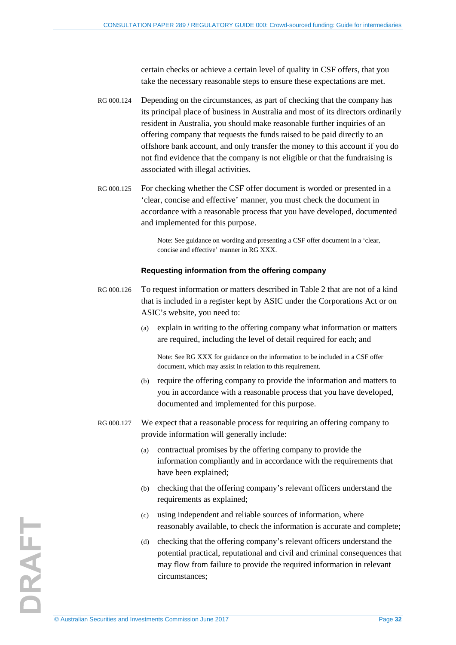certain checks or achieve a certain level of quality in CSF offers, that you take the necessary reasonable steps to ensure these expectations are met.

- RG 000.124 Depending on the circumstances, as part of checking that the company has its principal place of business in Australia and most of its directors ordinarily resident in Australia, you should make reasonable further inquiries of an offering company that requests the funds raised to be paid directly to an offshore bank account, and only transfer the money to this account if you do not find evidence that the company is not eligible or that the fundraising is associated with illegal activities.
- RG 000.125 For checking whether the CSF offer document is worded or presented in a 'clear, concise and effective' manner, you must check the document in accordance with a reasonable process that you have developed, documented and implemented for this purpose.

Note: See guidance on wording and presenting a CSF offer document in a 'clear, concise and effective' manner in RG XXX.

#### **Requesting information from the offering company**

- RG 000.126 To request information or matters described in [Table 2](#page-30-0) that are not of a kind that is included in a register kept by ASIC under the Corporations Act or on ASIC's website, you need to:
	- (a) explain in writing to the offering company what information or matters are required, including the level of detail required for each; and

Note: See RG XXX for guidance on the information to be included in a CSF offer document, which may assist in relation to this requirement.

- (b) require the offering company to provide the information and matters to you in accordance with a reasonable process that you have developed, documented and implemented for this purpose.
- RG 000.127 We expect that a reasonable process for requiring an offering company to provide information will generally include:
	- (a) contractual promises by the offering company to provide the information compliantly and in accordance with the requirements that have been explained;
	- (b) checking that the offering company's relevant officers understand the requirements as explained;
	- (c) using independent and reliable sources of information, where reasonably available, to check the information is accurate and complete;
	- (d) checking that the offering company's relevant officers understand the potential practical, reputational and civil and criminal consequences that may flow from failure to provide the required information in relevant circumstances;

DRAFT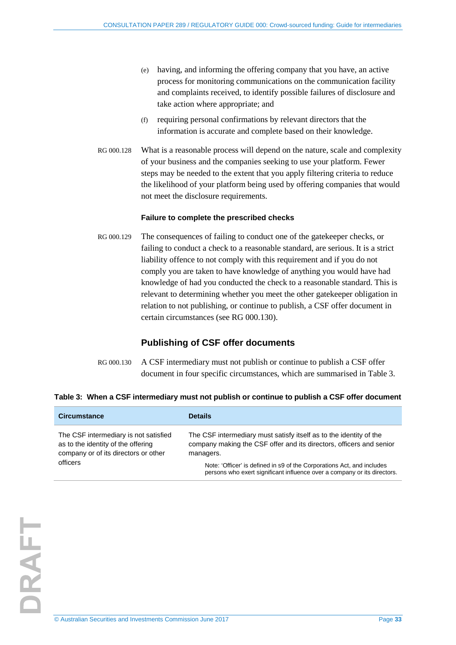- (e) having, and informing the offering company that you have, an active process for monitoring communications on the communication facility and complaints received, to identify possible failures of disclosure and take action where appropriate; and
- (f) requiring personal confirmations by relevant directors that the information is accurate and complete based on their knowledge.
- RG 000.128 What is a reasonable process will depend on the nature, scale and complexity of your business and the companies seeking to use your platform. Fewer steps may be needed to the extent that you apply filtering criteria to reduce the likelihood of your platform being used by offering companies that would not meet the disclosure requirements.

#### **Failure to complete the prescribed checks**

<span id="page-32-0"></span>RG 000.129 The consequences of failing to conduct one of the gatekeeper checks, or failing to conduct a check to a reasonable standard, are serious. It is a strict liability offence to not comply with this requirement and if you do not comply you are taken to have knowledge of anything you would have had knowledge of had you conducted the check to a reasonable standard. This is relevant to determining whether you meet the other gatekeeper obligation in relation to not publishing, or continue to publish, a CSF offer document in certain circumstances (see [RG 000.130\)](#page-32-1).

### **Publishing of CSF offer documents**

RG 000.130 A CSF intermediary must not publish or continue to publish a CSF offer document in four specific circumstances, which are summarised i[n Table 3.](#page-32-2)

| <b>Circumstance</b>                                                                                                 | <b>Details</b>                                                                                                                                         |
|---------------------------------------------------------------------------------------------------------------------|--------------------------------------------------------------------------------------------------------------------------------------------------------|
| The CSF intermediary is not satisfied<br>as to the identity of the offering<br>company or of its directors or other | The CSF intermediary must satisfy itself as to the identity of the<br>company making the CSF offer and its directors, officers and senior<br>managers. |
| officers                                                                                                            | Note: 'Officer' is defined in s9 of the Corporations Act, and includes<br>persons who exert significant influence over a company or its directors.     |

#### <span id="page-32-2"></span><span id="page-32-1"></span>**Table 3: When a CSF intermediary must not publish or continue to publish a CSF offer document**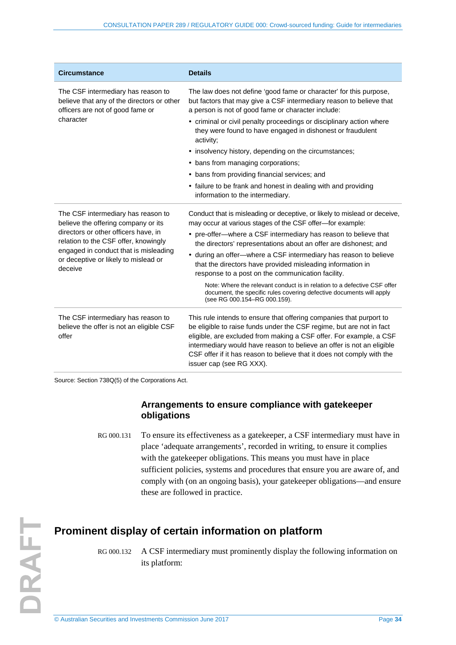| <b>Circumstance</b>                                                                                                  | <b>Details</b>                                                                                                                                                                                                                                                                                                                                                                                   |
|----------------------------------------------------------------------------------------------------------------------|--------------------------------------------------------------------------------------------------------------------------------------------------------------------------------------------------------------------------------------------------------------------------------------------------------------------------------------------------------------------------------------------------|
| The CSF intermediary has reason to<br>believe that any of the directors or other<br>officers are not of good fame or | The law does not define 'good fame or character' for this purpose,<br>but factors that may give a CSF intermediary reason to believe that<br>a person is not of good fame or character include:                                                                                                                                                                                                  |
| character                                                                                                            | • criminal or civil penalty proceedings or disciplinary action where<br>they were found to have engaged in dishonest or fraudulent<br>activity;                                                                                                                                                                                                                                                  |
|                                                                                                                      | • insolvency history, depending on the circumstances;                                                                                                                                                                                                                                                                                                                                            |
|                                                                                                                      | • bans from managing corporations;                                                                                                                                                                                                                                                                                                                                                               |
|                                                                                                                      | • bans from providing financial services; and                                                                                                                                                                                                                                                                                                                                                    |
|                                                                                                                      | • failure to be frank and honest in dealing with and providing<br>information to the intermediary.                                                                                                                                                                                                                                                                                               |
| The CSF intermediary has reason to<br>believe the offering company or its                                            | Conduct that is misleading or deceptive, or likely to mislead or deceive,<br>may occur at various stages of the CSF offer-for example:                                                                                                                                                                                                                                                           |
| directors or other officers have, in<br>relation to the CSF offer, knowingly                                         | • pre-offer-where a CSF intermediary has reason to believe that<br>the directors' representations about an offer are dishonest; and                                                                                                                                                                                                                                                              |
| engaged in conduct that is misleading<br>or deceptive or likely to mislead or<br>deceive                             | • during an offer-where a CSF intermediary has reason to believe<br>that the directors have provided misleading information in<br>response to a post on the communication facility.                                                                                                                                                                                                              |
|                                                                                                                      | Note: Where the relevant conduct is in relation to a defective CSF offer<br>document, the specific rules covering defective documents will apply<br>(see RG 000.154-RG 000.159).                                                                                                                                                                                                                 |
| The CSF intermediary has reason to<br>believe the offer is not an eligible CSF<br>offer                              | This rule intends to ensure that offering companies that purport to<br>be eligible to raise funds under the CSF regime, but are not in fact<br>eligible, are excluded from making a CSF offer. For example, a CSF<br>intermediary would have reason to believe an offer is not an eligible<br>CSF offer if it has reason to believe that it does not comply with the<br>issuer cap (see RG XXX). |

<span id="page-33-1"></span>Source: Section 738Q(5) of the Corporations Act.

### **Arrangements to ensure compliance with gatekeeper obligations**

RG 000.131 To ensure its effectiveness as a gatekeeper, a CSF intermediary must have in place 'adequate arrangements', recorded in writing, to ensure it complies with the gatekeeper obligations. This means you must have in place sufficient policies, systems and procedures that ensure you are aware of, and comply with (on an ongoing basis), your gatekeeper obligations—and ensure these are followed in practice.

### <span id="page-33-2"></span><span id="page-33-0"></span>**Prominent display of certain information on platform**

RG 000.132 A CSF intermediary must prominently display the following information on its platform: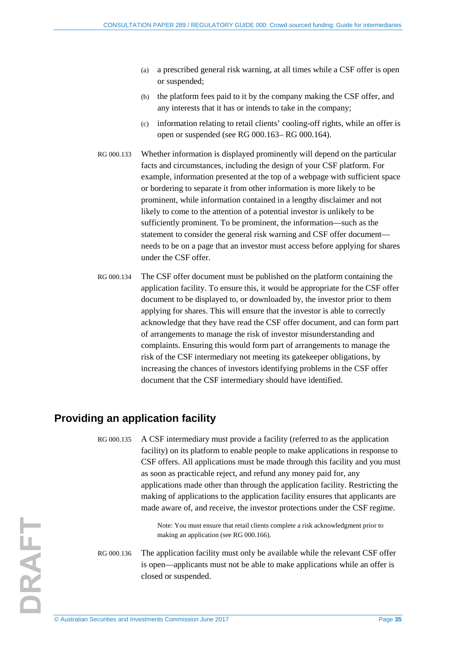- (a) a prescribed general risk warning, at all times while a CSF offer is open or suspended;
- (b) the platform fees paid to it by the company making the CSF offer, and any interests that it has or intends to take in the company;
- (c) information relating to retail clients' cooling-off rights, while an offer is open or suspended (se[e RG 000.163–](#page-39-2) [RG 000.164\)](#page-39-3).
- RG 000.133 Whether information is displayed prominently will depend on the particular facts and circumstances, including the design of your CSF platform. For example, information presented at the top of a webpage with sufficient space or bordering to separate it from other information is more likely to be prominent, while information contained in a lengthy disclaimer and not likely to come to the attention of a potential investor is unlikely to be sufficiently prominent. To be prominent, the information—such as the statement to consider the general risk warning and CSF offer document needs to be on a page that an investor must access before applying for shares under the CSF offer.
- <span id="page-34-1"></span>RG 000.134 The CSF offer document must be published on the platform containing the application facility. To ensure this, it would be appropriate for the CSF offer document to be displayed to, or downloaded by, the investor prior to them applying for shares. This will ensure that the investor is able to correctly acknowledge that they have read the CSF offer document, and can form part of arrangements to manage the risk of investor misunderstanding and complaints. Ensuring this would form part of arrangements to manage the risk of the CSF intermediary not meeting its gatekeeper obligations, by increasing the chances of investors identifying problems in the CSF offer document that the CSF intermediary should have identified.

### <span id="page-34-2"></span><span id="page-34-0"></span>**Providing an application facility**

RG 000.135 A CSF intermediary must provide a facility (referred to as the application facility) on its platform to enable people to make applications in response to CSF offers. All applications must be made through this facility and you must as soon as practicable reject, and refund any money paid for, any applications made other than through the application facility. Restricting the making of applications to the application facility ensures that applicants are made aware of, and receive, the investor protections under the CSF regime.

> Note: You must ensure that retail clients complete a risk acknowledgment prior to making an application (se[e RG 000.166\)](#page-39-4).

<span id="page-34-3"></span>RG 000.136 The application facility must only be available while the relevant CSF offer is open—applicants must not be able to make applications while an offer is closed or suspended.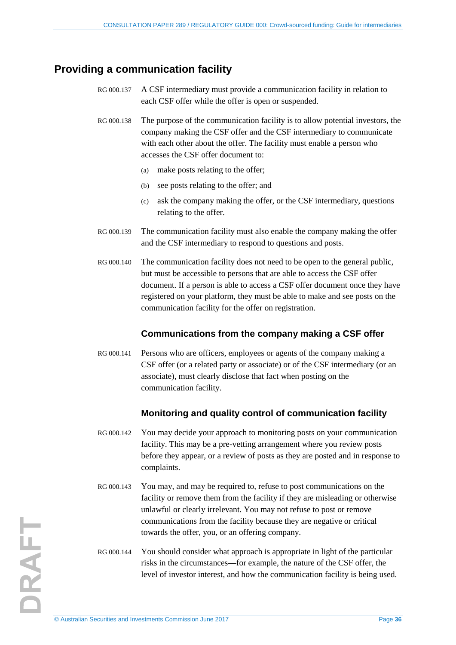### <span id="page-35-2"></span><span id="page-35-0"></span>**Providing a communication facility**

- RG 000.137 A CSF intermediary must provide a communication facility in relation to each CSF offer while the offer is open or suspended.
- RG 000.138 The purpose of the communication facility is to allow potential investors, the company making the CSF offer and the CSF intermediary to communicate with each other about the offer. The facility must enable a person who accesses the CSF offer document to:
	- (a) make posts relating to the offer;
	- (b) see posts relating to the offer; and
	- (c) ask the company making the offer, or the CSF intermediary, questions relating to the offer.
- RG 000.139 The communication facility must also enable the company making the offer and the CSF intermediary to respond to questions and posts.
- RG 000.140 The communication facility does not need to be open to the general public, but must be accessible to persons that are able to access the CSF offer document. If a person is able to access a CSF offer document once they have registered on your platform, they must be able to make and see posts on the communication facility for the offer on registration.

### **Communications from the company making a CSF offer**

RG 000.141 Persons who are officers, employees or agents of the company making a CSF offer (or a related party or associate) or of the CSF intermediary (or an associate), must clearly disclose that fact when posting on the communication facility.

### **Monitoring and quality control of communication facility**

- <span id="page-35-1"></span>RG 000.142 You may decide your approach to monitoring posts on your communication facility. This may be a pre-vetting arrangement where you review posts before they appear, or a review of posts as they are posted and in response to complaints.
- RG 000.143 You may, and may be required to, refuse to post communications on the facility or remove them from the facility if they are misleading or otherwise unlawful or clearly irrelevant. You may not refuse to post or remove communications from the facility because they are negative or critical towards the offer, you, or an offering company.
- RG 000.144 You should consider what approach is appropriate in light of the particular risks in the circumstances—for example, the nature of the CSF offer, the level of investor interest, and how the communication facility is being used.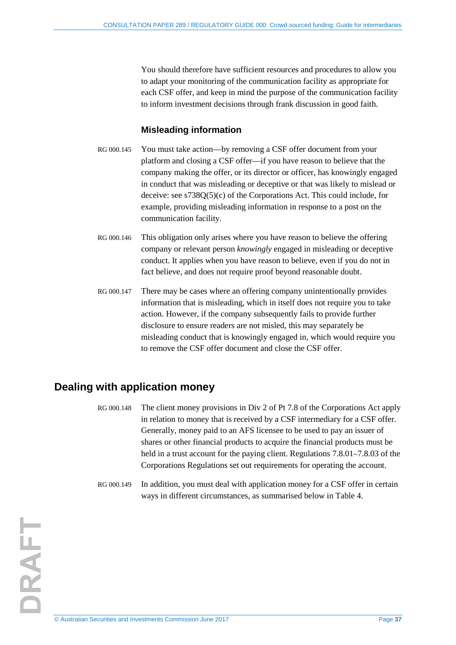You should therefore have sufficient resources and procedures to allow you to adapt your monitoring of the communication facility as appropriate for each CSF offer, and keep in mind the purpose of the communication facility to inform investment decisions through frank discussion in good faith.

### <span id="page-36-3"></span>**Misleading information**

- RG 000.145 You must take action—by removing a CSF offer document from your platform and closing a CSF offer—if you have reason to believe that the company making the offer, or its director or officer, has knowingly engaged in conduct that was misleading or deceptive or that was likely to mislead or deceive: see s738Q(5)(c) of the Corporations Act. This could include, for example, providing misleading information in response to a post on the communication facility.
- RG 000.146 This obligation only arises where you have reason to believe the offering company or relevant person *knowingly* engaged in misleading or deceptive conduct. It applies when you have reason to believe, even if you do not in fact believe, and does not require proof beyond reasonable doubt.
- <span id="page-36-4"></span>RG 000.147 There may be cases where an offering company unintentionally provides information that is misleading, which in itself does not require you to take action. However, if the company subsequently fails to provide further disclosure to ensure readers are not misled, this may separately be misleading conduct that is knowingly engaged in, which would require you to remove the CSF offer document and close the CSF offer.

### <span id="page-36-1"></span><span id="page-36-0"></span>**Dealing with application money**

- RG 000.148 The client money provisions in Div 2 of Pt 7.8 of the Corporations Act apply in relation to money that is received by a CSF intermediary for a CSF offer. Generally, money paid to an AFS licensee to be used to pay an issuer of shares or other financial products to acquire the financial products must be held in a trust account for the paying client. Regulations 7.8.01–7.8.03 of the Corporations Regulations set out requirements for operating the account.
- <span id="page-36-2"></span>RG 000.149 In addition, you must deal with application money for a CSF offer in certain ways in different circumstances, as summarised below in [Table 4.](#page-37-2)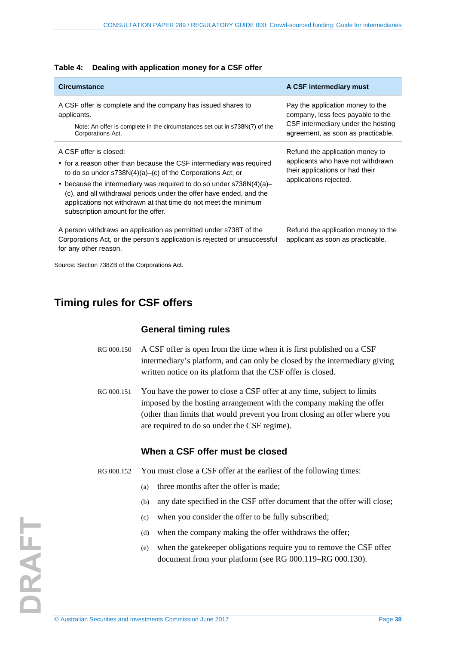<span id="page-37-2"></span>

|  | Table 4: Dealing with application money for a CSF offer |
|--|---------------------------------------------------------|
|--|---------------------------------------------------------|

| <b>Circumstance</b>                                                                                                                                                                                                                                                                                                                                                                                                      | A CSF intermediary must                                                                                                                           |
|--------------------------------------------------------------------------------------------------------------------------------------------------------------------------------------------------------------------------------------------------------------------------------------------------------------------------------------------------------------------------------------------------------------------------|---------------------------------------------------------------------------------------------------------------------------------------------------|
| A CSF offer is complete and the company has issued shares to<br>applicants.<br>Note: An offer is complete in the circumstances set out in s738N(7) of the<br>Corporations Act.                                                                                                                                                                                                                                           | Pay the application money to the<br>company, less fees payable to the<br>CSF intermediary under the hosting<br>agreement, as soon as practicable. |
| A CSF offer is closed:<br>• for a reason other than because the CSF intermediary was required<br>to do so under $s738N(4)(a)$ –(c) of the Corporations Act; or<br>• because the intermediary was required to do so under $s738N(4)(a)$ -<br>(c), and all withdrawal periods under the offer have ended, and the<br>applications not withdrawn at that time do not meet the minimum<br>subscription amount for the offer. | Refund the application money to<br>applicants who have not withdrawn<br>their applications or had their<br>applications rejected.                 |
| A person withdraws an application as permitted under s738T of the<br>Corporations Act, or the person's application is rejected or unsuccessful<br>for any other reason.                                                                                                                                                                                                                                                  | Refund the application money to the<br>applicant as soon as practicable.                                                                          |

<span id="page-37-0"></span>Source: Section 738ZB of the Corporations Act.

### <span id="page-37-1"></span>**Timing rules for CSF offers**

### **General timing rules**

- RG 000.150 A CSF offer is open from the time when it is first published on a CSF intermediary's platform, and can only be closed by the intermediary giving written notice on its platform that the CSF offer is closed.
- RG 000.151 You have the power to close a CSF offer at any time, subject to limits imposed by the hosting arrangement with the company making the offer (other than limits that would prevent you from closing an offer where you are required to do so under the CSF regime).

### **When a CSF offer must be closed**

RG 000.152 You must close a CSF offer at the earliest of the following times:

- (a) three months after the offer is made;
- (b) any date specified in the CSF offer document that the offer will close;
- (c) when you consider the offer to be fully subscribed;
- (d) when the company making the offer withdraws the offer;
- (e) when the gatekeeper obligations require you to remove the CSF offer document from your platform (see [RG 000.119](#page-29-2)[–RG 000.130\)](#page-32-1).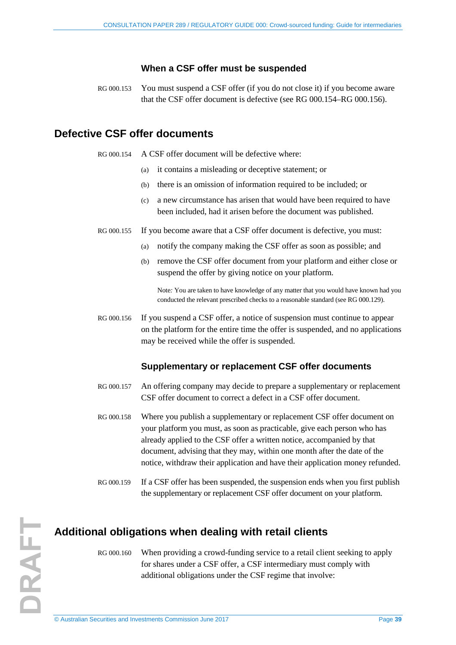### **When a CSF offer must be suspended**

<span id="page-38-2"></span>RG 000.153 You must suspend a CSF offer (if you do not close it) if you become aware that the CSF offer document is defective (see [RG 000.154–](#page-38-3)[RG 000.156\)](#page-38-6).

### <span id="page-38-3"></span><span id="page-38-0"></span>**Defective CSF offer documents**

RG 000.154 A CSF offer document will be defective where:

- (a) it contains a misleading or deceptive statement; or
- (b) there is an omission of information required to be included; or
- (c) a new circumstance has arisen that would have been required to have been included, had it arisen before the document was published.
- RG 000.155 If you become aware that a CSF offer document is defective, you must:
	- (a) notify the company making the CSF offer as soon as possible; and
	- (b) remove the CSF offer document from your platform and either close or suspend the offer by giving notice on your platform.

Note*:* You are taken to have knowledge of any matter that you would have known had you conducted the relevant prescribed checks to a reasonable standard (see [RG 000.129\)](#page-32-0).

<span id="page-38-6"></span>RG 000.156 If you suspend a CSF offer, a notice of suspension must continue to appear on the platform for the entire time the offer is suspended, and no applications may be received while the offer is suspended.

### **Supplementary or replacement CSF offer documents**

- RG 000.157 An offering company may decide to prepare a supplementary or replacement CSF offer document to correct a defect in a CSF offer document.
- RG 000.158 Where you publish a supplementary or replacement CSF offer document on your platform you must, as soon as practicable, give each person who has already applied to the CSF offer a written notice, accompanied by that document, advising that they may, within one month after the date of the notice, withdraw their application and have their application money refunded.
- <span id="page-38-4"></span>RG 000.159 If a CSF offer has been suspended, the suspension ends when you first publish the supplementary or replacement CSF offer document on your platform.

### <span id="page-38-5"></span><span id="page-38-1"></span>**Additional obligations when dealing with retail clients**

RG 000.160 When providing a crowd-funding service to a retail client seeking to apply for shares under a CSF offer, a CSF intermediary must comply with additional obligations under the CSF regime that involve:

DRAFT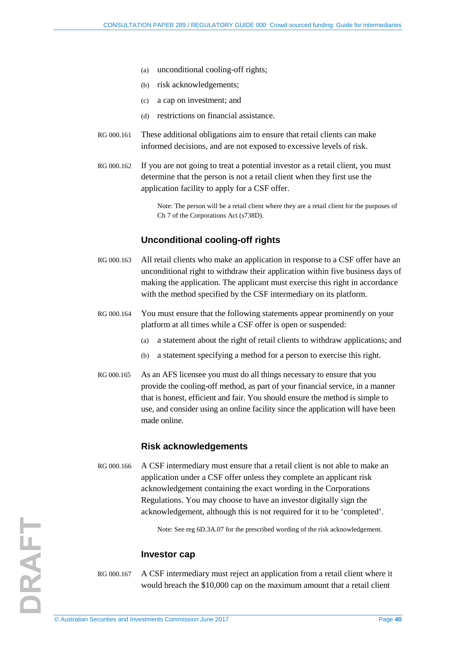- (a) unconditional cooling-off rights;
- (b) risk acknowledgements;
- (c) a cap on investment; and
- (d) restrictions on financial assistance.
- RG 000.161 These additional obligations aim to ensure that retail clients can make informed decisions, and are not exposed to excessive levels of risk.
- <span id="page-39-1"></span>RG 000.162 If you are not going to treat a potential investor as a retail client, you must determine that the person is not a retail client when they first use the application facility to apply for a CSF offer.

Note: The person will be a retail client where they are a retail client for the purposes of Ch 7 of the Corporations Act (s738D).

### **Unconditional cooling-off rights**

- <span id="page-39-2"></span>RG 000.163 All retail clients who make an application in response to a CSF offer have an unconditional right to withdraw their application within five business days of making the application. The applicant must exercise this right in accordance with the method specified by the CSF intermediary on its platform.
- <span id="page-39-3"></span>RG 000.164 You must ensure that the following statements appear prominently on your platform at all times while a CSF offer is open or suspended:
	- (a) a statement about the right of retail clients to withdraw applications; and
	- (b) a statement specifying a method for a person to exercise this right.
- RG 000.165 As an AFS licensee you must do all things necessary to ensure that you provide the cooling-off method, as part of your financial service, in a manner that is honest, efficient and fair. You should ensure the method is simple to use, and consider using an online facility since the application will have been made online.

### **Risk acknowledgements**

<span id="page-39-4"></span>RG 000.166 A CSF intermediary must ensure that a retail client is not able to make an application under a CSF offer unless they complete an applicant risk acknowledgement containing the exact wording in the Corporations Regulations. You may choose to have an investor digitally sign the acknowledgement, although this is not required for it to be 'completed'.

Note: See reg 6D.3A.07 for the prescribed wording of the risk acknowledgement.

### **Investor cap**

<span id="page-39-0"></span>RG 000.167 A CSF intermediary must reject an application from a retail client where it would breach the \$10,000 cap on the maximum amount that a retail client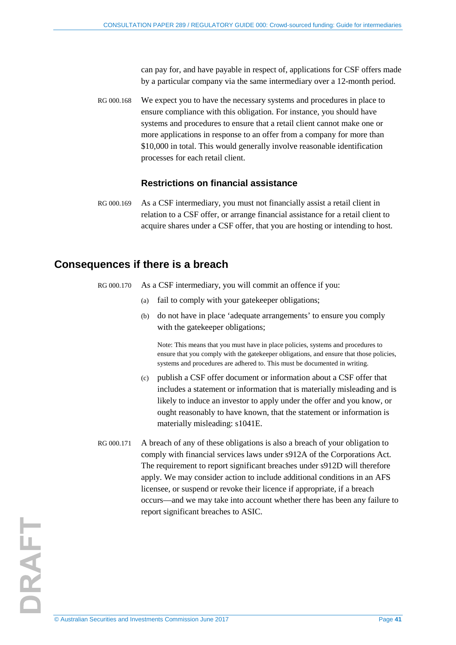can pay for, and have payable in respect of, applications for CSF offers made by a particular company via the same intermediary over a 12-month period.

<span id="page-40-1"></span>RG 000.168 We expect you to have the necessary systems and procedures in place to ensure compliance with this obligation. For instance, you should have systems and procedures to ensure that a retail client cannot make one or more applications in response to an offer from a company for more than \$10,000 in total. This would generally involve reasonable identification processes for each retail client.

### **Restrictions on financial assistance**

<span id="page-40-2"></span>RG 000.169 As a CSF intermediary, you must not financially assist a retail client in relation to a CSF offer, or arrange financial assistance for a retail client to acquire shares under a CSF offer, that you are hosting or intending to host.

### <span id="page-40-0"></span>**Consequences if there is a breach**

- RG 000.170 As a CSF intermediary, you will commit an offence if you:
	- (a) fail to comply with your gatekeeper obligations;
	- (b) do not have in place 'adequate arrangements' to ensure you comply with the gatekeeper obligations:

Note: This means that you must have in place policies, systems and procedures to ensure that you comply with the gatekeeper obligations, and ensure that those policies, systems and procedures are adhered to. This must be documented in writing.

- (c) publish a CSF offer document or information about a CSF offer that includes a statement or information that is materially misleading and is likely to induce an investor to apply under the offer and you know, or ought reasonably to have known, that the statement or information is materially misleading: s1041E.
- RG 000.171 A breach of any of these obligations is also a breach of your obligation to comply with financial services laws under s912A of the Corporations Act. The requirement to report significant breaches under s912D will therefore apply. We may consider action to include additional conditions in an AFS licensee, or suspend or revoke their licence if appropriate, if a breach occurs—and we may take into account whether there has been any failure to report significant breaches to ASIC.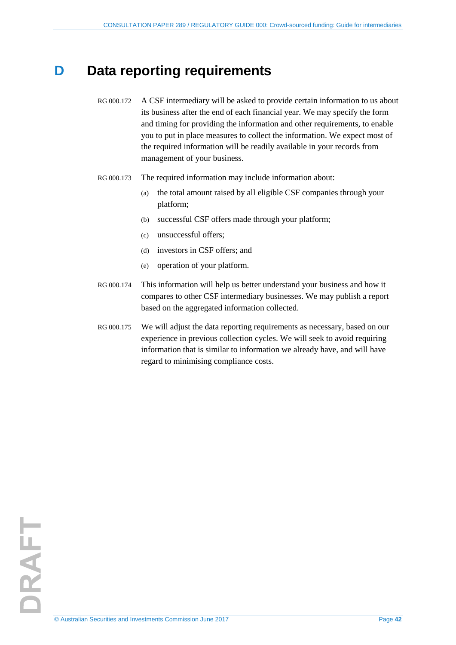## <span id="page-41-1"></span><span id="page-41-0"></span>**D** Data reporting requirements

- RG 000.172 A CSF intermediary will be asked to provide certain information to us about its business after the end of each financial year. We may specify the form and timing for providing the information and other requirements, to enable you to put in place measures to collect the information. We expect most of the required information will be readily available in your records from management of your business.
- RG 000.173 The required information may include information about:
	- (a) the total amount raised by all eligible CSF companies through your platform;
	- (b) successful CSF offers made through your platform;
	- (c) unsuccessful offers;
	- (d) investors in CSF offers; and
	- (e) operation of your platform.
- RG 000.174 This information will help us better understand your business and how it compares to other CSF intermediary businesses. We may publish a report based on the aggregated information collected.
- RG 000.175 We will adjust the data reporting requirements as necessary, based on our experience in previous collection cycles. We will seek to avoid requiring information that is similar to information we already have, and will have regard to minimising compliance costs.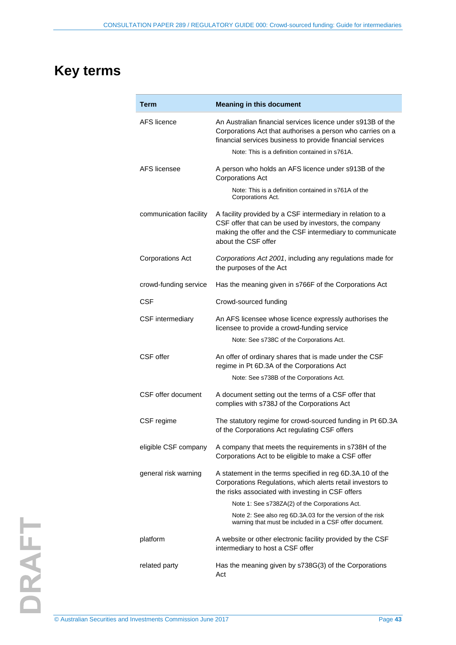## <span id="page-42-0"></span>**Key terms**

| <b>Term</b>             | <b>Meaning in this document</b>                                                                                                                                                                                                          |
|-------------------------|------------------------------------------------------------------------------------------------------------------------------------------------------------------------------------------------------------------------------------------|
| AFS licence             | An Australian financial services licence under s913B of the<br>Corporations Act that authorises a person who carries on a<br>financial services business to provide financial services<br>Note: This is a definition contained in s761A. |
| AFS licensee            | A person who holds an AFS licence under s913B of the<br><b>Corporations Act</b><br>Note: This is a definition contained in s761A of the<br>Corporations Act.                                                                             |
| communication facility  | A facility provided by a CSF intermediary in relation to a<br>CSF offer that can be used by investors, the company<br>making the offer and the CSF intermediary to communicate<br>about the CSF offer                                    |
| <b>Corporations Act</b> | Corporations Act 2001, including any regulations made for<br>the purposes of the Act                                                                                                                                                     |
| crowd-funding service   | Has the meaning given in s766F of the Corporations Act                                                                                                                                                                                   |
| CSF                     | Crowd-sourced funding                                                                                                                                                                                                                    |
| CSF intermediary        | An AFS licensee whose licence expressly authorises the<br>licensee to provide a crowd-funding service<br>Note: See s738C of the Corporations Act.                                                                                        |
| CSF offer               | An offer of ordinary shares that is made under the CSF<br>regime in Pt 6D.3A of the Corporations Act<br>Note: See s738B of the Corporations Act.                                                                                         |
| CSF offer document      | A document setting out the terms of a CSF offer that<br>complies with s738J of the Corporations Act                                                                                                                                      |
| CSF regime              | The statutory regime for crowd-sourced funding in Pt 6D.3A<br>of the Corporations Act regulating CSF offers                                                                                                                              |
| eligible CSF company    | A company that meets the requirements in s738H of the<br>Corporations Act to be eligible to make a CSF offer                                                                                                                             |
| general risk warning    | A statement in the terms specified in reg 6D.3A.10 of the<br>Corporations Regulations, which alerts retail investors to<br>the risks associated with investing in CSF offers                                                             |
|                         | Note 1: See s738ZA(2) of the Corporations Act.                                                                                                                                                                                           |
|                         | Note 2: See also reg 6D.3A.03 for the version of the risk<br>warning that must be included in a CSF offer document.                                                                                                                      |
| platform                | A website or other electronic facility provided by the CSF<br>intermediary to host a CSF offer                                                                                                                                           |
| related party           | Has the meaning given by s738G(3) of the Corporations<br>Act                                                                                                                                                                             |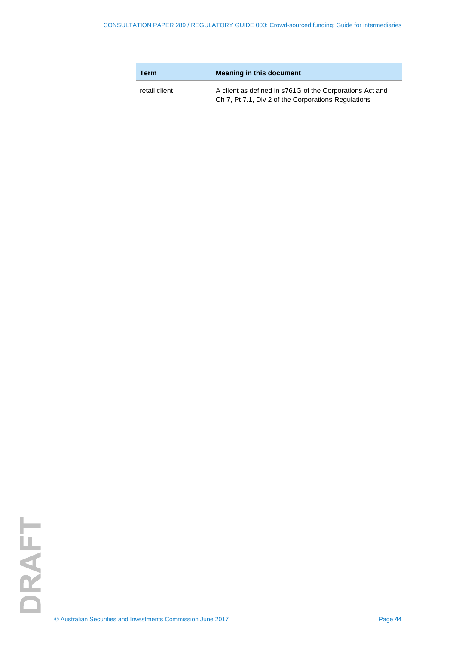| <b>Term</b>   | <b>Meaning in this document</b>                                                                                 |
|---------------|-----------------------------------------------------------------------------------------------------------------|
| retail client | A client as defined in s761G of the Corporations Act and<br>Ch 7, Pt 7.1, Div 2 of the Corporations Regulations |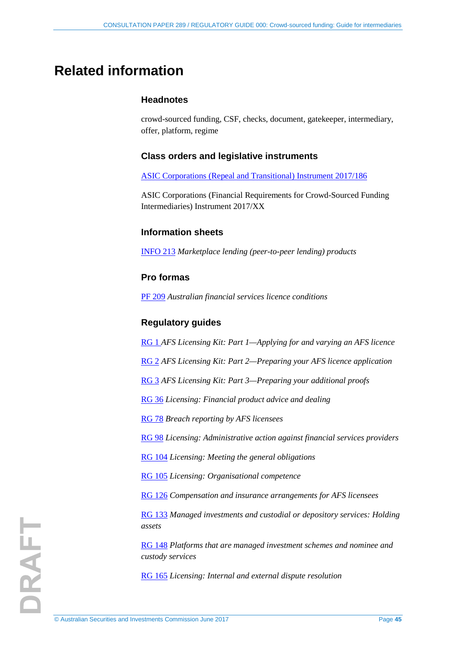## <span id="page-44-0"></span>**Related information**

### **Headnotes**

crowd-sourced funding, CSF, checks, document, gatekeeper, intermediary, offer, platform, regime

### **Class orders and legislative instruments**

[ASIC Corporations \(Repeal and Transitional\) Instrument 2017/186](https://www.legislation.gov.au/Details/F2017L00283)

ASIC Corporations (Financial Requirements for Crowd-Sourced Funding Intermediaries) Instrument 2017/XX

### **Information sheets**

[INFO 213](http://www.asic.gov.au/regulatory-resources/financial-services/marketplace-lending/marketplace-lending-peer-to-peer-lending-products/) *Marketplace lending (peer-to-peer lending) products*

### **Pro formas**

[PF 209](http://asic.gov.au/for-finance-professionals/afs-licensees/applying-for-and-managing-an-afs-licence/australian-financial-services-licence-conditions-pro-forma-209/) *Australian financial services licence conditions*

### **Regulatory guides**

[RG 1](http://www.asic.gov.au/regulatory-resources/find-a-document/regulatory-guides/rg-1-afs-licensing-kit-part-1-applying-for-and-varying-an-afs-licence/) *AFS Licensing Kit: Part 1—Applying for and varying an AFS licence*

[RG 2](http://www.asic.gov.au/regulatory-resources/find-a-document/regulatory-guides/rg-2-afs-licensing-kit-part-2-preparing-your-afs-licence-application/) *AFS Licensing Kit: Part 2—Preparing your AFS licence application*

[RG 3](http://www.asic.gov.au/regulatory-resources/find-a-document/regulatory-guides/rg-3-afs-licensing-kit-part-3-preparing-your-additional-proofs/) *AFS Licensing Kit: Part 3—Preparing your additional proofs*

[RG 36](http://www.asic.gov.au/regulatory-resources/find-a-document/regulatory-guides/rg-36-licensing-financial-product-advice-and-dealing/) *Licensing: Financial product advice and dealing*

[RG 78](http://asic.gov.au/regulatory-resources/find-a-document/regulatory-guides/rg-78-breach-reporting-by-afs-licensees/) *Breach reporting by AFS licensees*

[RG 98](http://www.asic.gov.au/regulatory-resources/find-a-document/regulatory-guides/rg-98-licensing-administrative-action-against-financial-services-providers/) *Licensing: Administrative action against financial services providers*

[RG 104](http://www.asic.gov.au/regulatory-resources/find-a-document/regulatory-guides/rg-104-licensing-meeting-the-general-obligations/) *Licensing: Meeting the general obligations*

[RG 105](http://www.asic.gov.au/regulatory-resources/find-a-document/regulatory-guides/rg-105-licensing-organisational-competence/) *Licensing: Organisational competence*

[RG 126](http://www.asic.gov.au/regulatory-resources/find-a-document/regulatory-guides/rg-126-compensation-and-insurance-arrangements-for-afs-licensees/) *Compensation and insurance arrangements for AFS licensees*

[RG 133](http://www.asic.gov.au/regulatory-resources/find-a-document/regulatory-guides/rg-133-managed-investments-and-custodial-or-depository-services-holding-assets/) *Managed investments and custodial or depository services: Holding assets*

[RG 148](http://asic.gov.au/regulatory-resources/find-a-document/regulatory-guides/rg-148-platforms-that-are-managed-investment-schemes-and-nominee-and-custody-services/) *Platforms that are managed investment schemes and nominee and custody services*

[RG 165](http://www.asic.gov.au/regulatory-resources/find-a-document/regulatory-guides/rg-165-licensing-internal-and-external-dispute-resolution/) *Licensing: Internal and external dispute resolution*